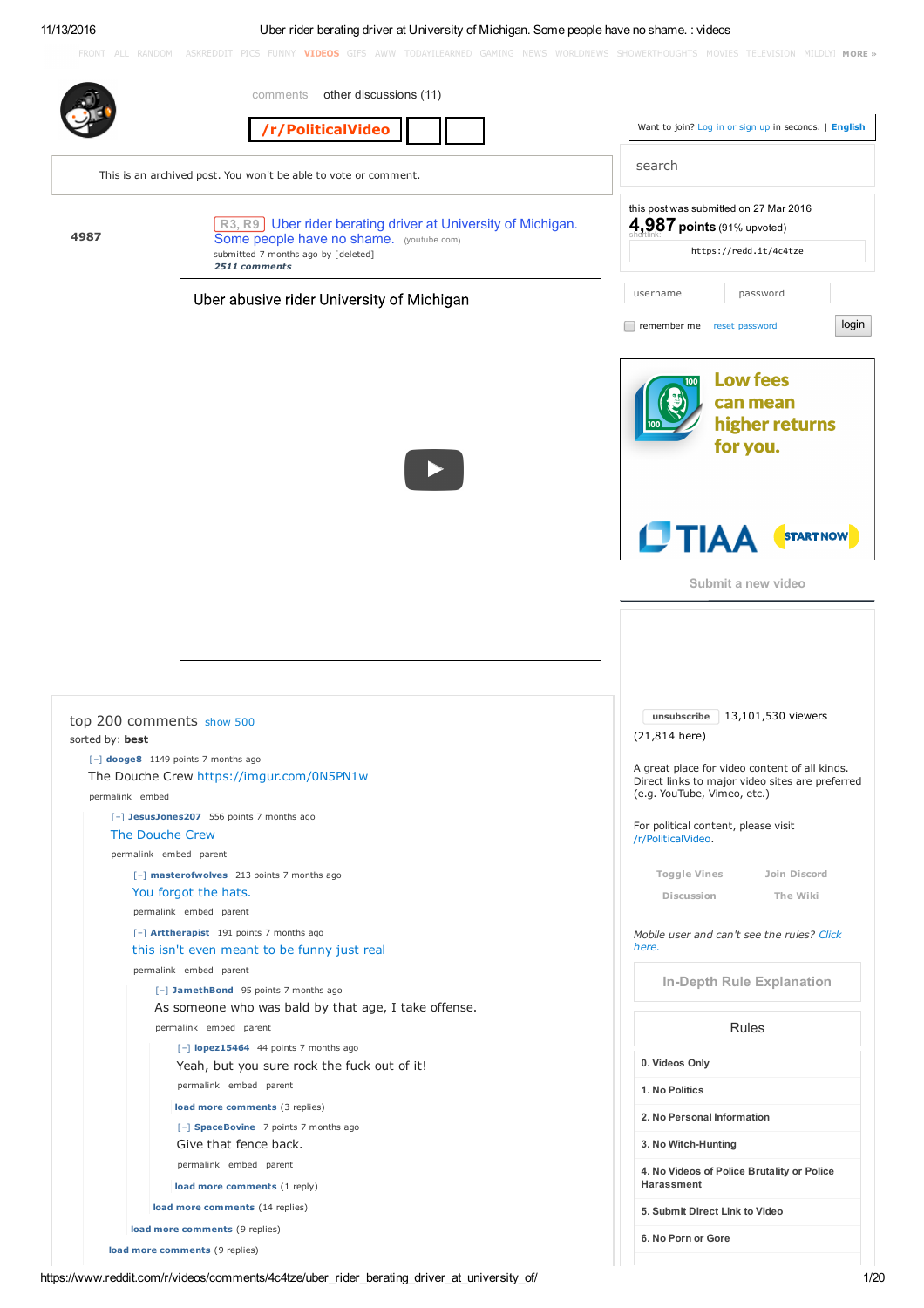# 11/13/2016 Uber rider berating driver at University of Michigan. Some people have no shame. : videos

FRONT ALL RANDOM ASKREDDIT PICS FUNNY VIDEOS GIFS AWW TODAYILEARNED GAMING NEWS WORLDNEWS SHOWERTHOUGHTS MOVIES TELEVISION MILDLY: MORE »

|                 | other discussions (11)<br>comments                                                               |                                                                                                        |
|-----------------|--------------------------------------------------------------------------------------------------|--------------------------------------------------------------------------------------------------------|
|                 | /r/PoliticalVideo                                                                                | Want to join? Log in or sign up in seconds.   English                                                  |
|                 | This is an archived post. You won't be able to vote or comment.                                  | search                                                                                                 |
|                 | R3, R9   Uber rider berating driver at University of Michigan.                                   | this post was submitted on 27 Mar 2016<br>$4,987$ points (91% upvoted)                                 |
| 4987            | Some people have no shame. (youtube.com)<br>submitted 7 months ago by [deleted]<br>2511 comments | https://redd.it/4c4tze                                                                                 |
|                 | Uber abusive rider University of Michigan                                                        | password<br>username                                                                                   |
|                 |                                                                                                  | login<br>remember me reset password                                                                    |
|                 |                                                                                                  | <b>Low fees</b><br>can mean<br>higher returns<br>for you.                                              |
|                 |                                                                                                  | LTIAA<br><b>START NOW</b><br>Submit a new video                                                        |
| sorted by: best | top 200 comments show 500<br>$[-]$ dooge8 1149 points 7 months ago                               | 13,101,530 viewers<br>unsubscribe<br>$(21, 814$ here)<br>A great place for video content of all kinds. |
| permalink embed | The Douche Crew https://imgur.com/0N5PN1w                                                        | Direct links to major video sites are preferred<br>(e.g. YouTube, Vimeo, etc.)                         |
|                 | [-] JesusJones207 556 points 7 months ago<br>The Douche Crew                                     | For political content, please visit<br>/r/PoliticalVideo.                                              |
|                 | permalink embed parent<br>[-] masterofwolves 213 points 7 months ago                             | Toggle Vines<br>Join Discord                                                                           |
|                 | You forgot the hats.<br>permalink embed parent                                                   | Discussion<br>The Wiki                                                                                 |
|                 | [-] Arttherapist 191 points 7 months ago<br>this isn't even meant to be funny just real          | Mobile user and can't see the rules? Click<br>here.                                                    |
|                 | permalink embed parent<br>[-] JamethBond 95 points 7 months ago                                  | <b>In-Depth Rule Explanation</b>                                                                       |
|                 | As someone who was bald by that age, I take offense.<br>permalink embed parent                   | <b>Rules</b>                                                                                           |
|                 | [-] lopez15464 44 points 7 months ago<br>Yeah, but you sure rock the fuck out of it!             | 0. Videos Only                                                                                         |
|                 | permalink embed parent                                                                           | 1. No Politics                                                                                         |
|                 | load more comments (3 replies)                                                                   | 2. No Personal Information                                                                             |
|                 | [-] SpaceBovine 7 points 7 months ago<br>Give that fence back.                                   | 3. No Witch-Hunting                                                                                    |
|                 | permalink embed parent                                                                           |                                                                                                        |
|                 | load more comments (1 reply)                                                                     | 4. No Videos of Police Brutality or Police<br>Harassment                                               |
|                 | load more comments (14 replies)                                                                  | 5. Submit Direct Link to Video                                                                         |
|                 | load more comments (9 replies)                                                                   | 6. No Porn or Gore                                                                                     |
|                 | load more comments (9 replies)                                                                   |                                                                                                        |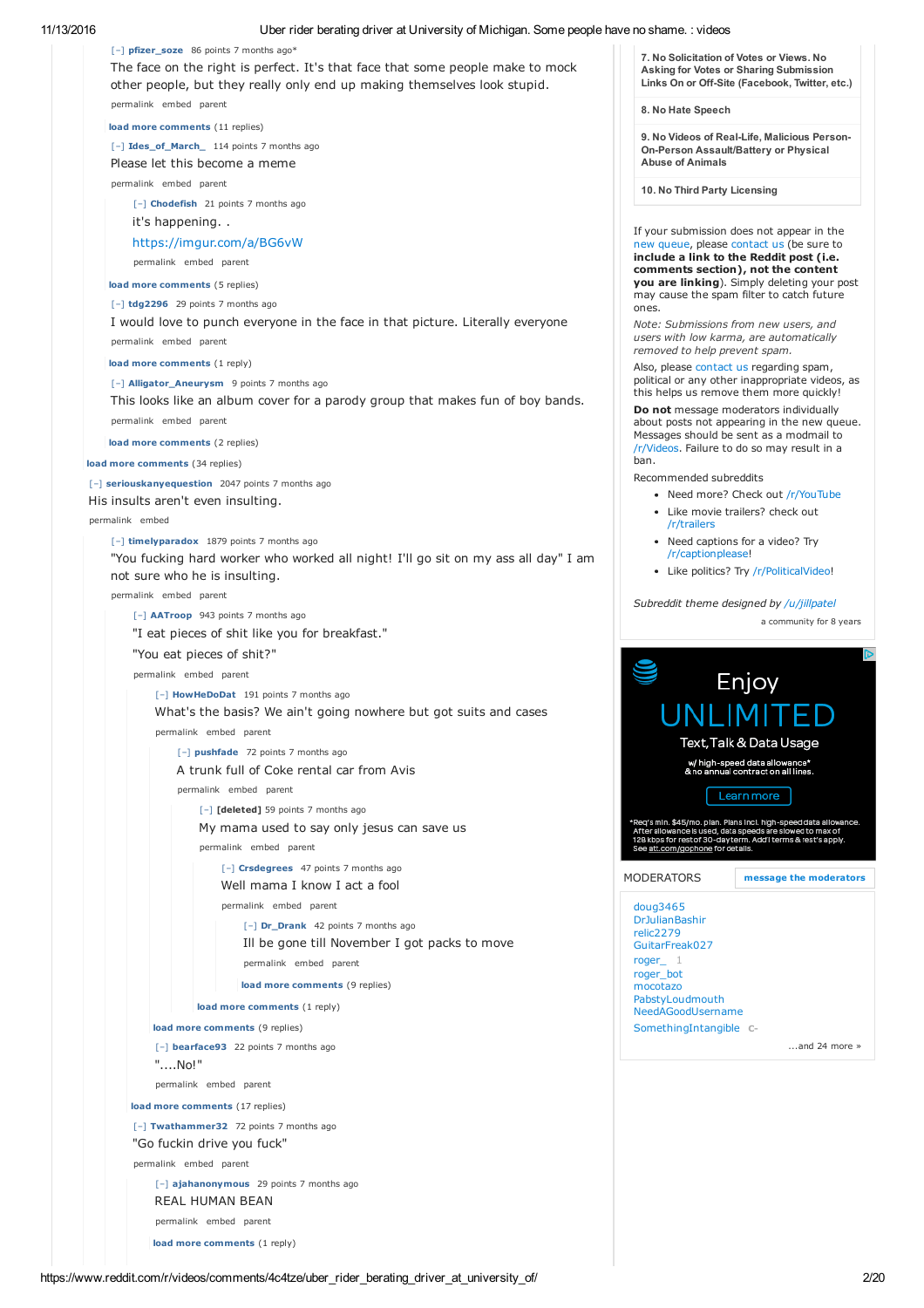11/13/2016 Uber rider berating driver at University of Michigan. Some people have no shame. : videos

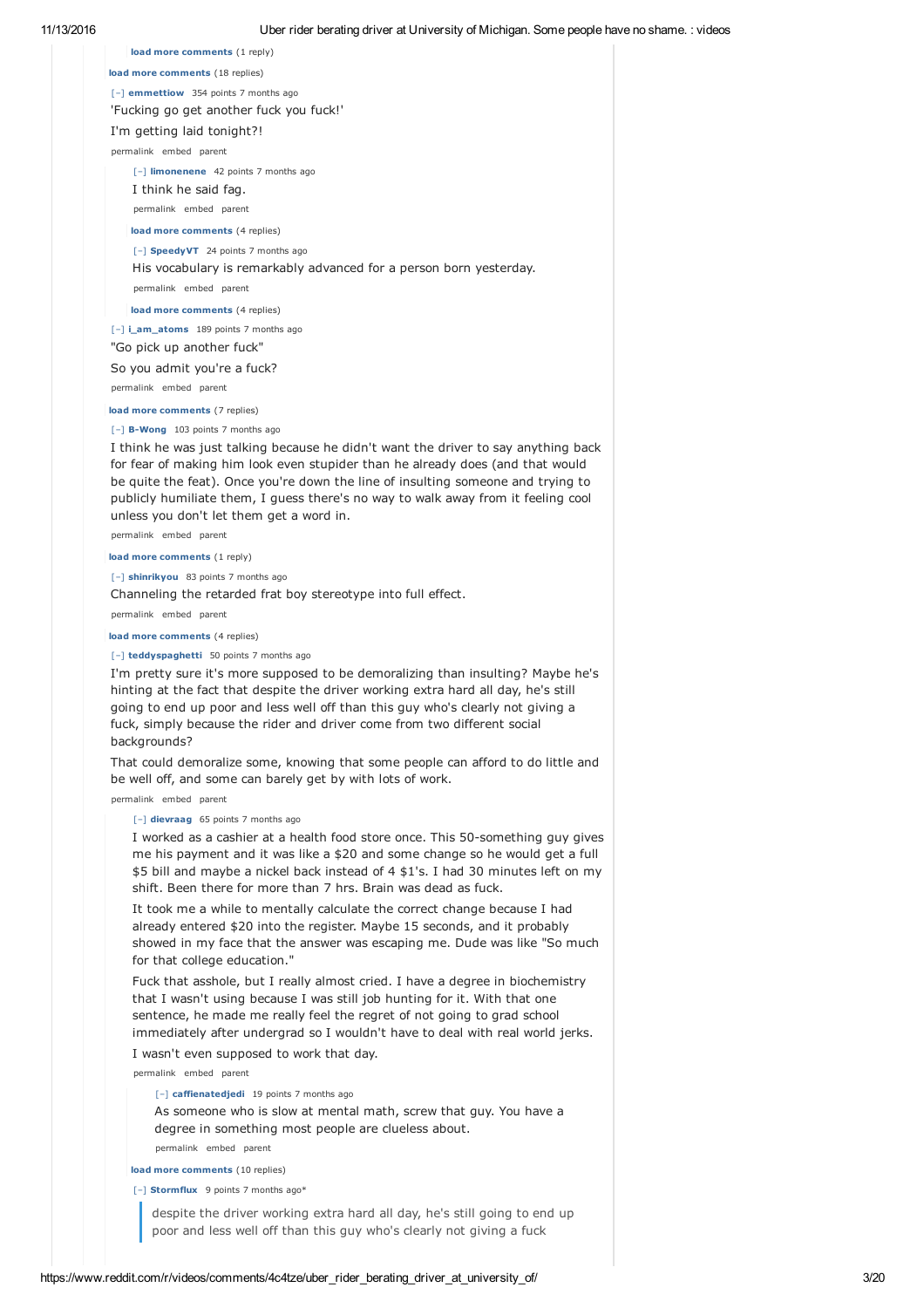| 11/13/2016 | Uber rider berating driver at University of Michigan. Some people have no shame. : videos                                                                                                                                                                                                                                                                                                 |  |
|------------|-------------------------------------------------------------------------------------------------------------------------------------------------------------------------------------------------------------------------------------------------------------------------------------------------------------------------------------------------------------------------------------------|--|
|            | load more comments (1 reply)                                                                                                                                                                                                                                                                                                                                                              |  |
|            | load more comments (18 replies)                                                                                                                                                                                                                                                                                                                                                           |  |
|            | [-] emmettiow 354 points 7 months ago                                                                                                                                                                                                                                                                                                                                                     |  |
|            | 'Fucking go get another fuck you fuck!'                                                                                                                                                                                                                                                                                                                                                   |  |
|            | I'm getting laid tonight?!                                                                                                                                                                                                                                                                                                                                                                |  |
|            | permalink embed parent                                                                                                                                                                                                                                                                                                                                                                    |  |
|            | [-] limonenene 42 points 7 months ago                                                                                                                                                                                                                                                                                                                                                     |  |
|            | I think he said fag.                                                                                                                                                                                                                                                                                                                                                                      |  |
|            | permalink embed parent                                                                                                                                                                                                                                                                                                                                                                    |  |
|            | load more comments (4 replies)                                                                                                                                                                                                                                                                                                                                                            |  |
|            | [-] SpeedyVT 24 points 7 months ago                                                                                                                                                                                                                                                                                                                                                       |  |
|            | His vocabulary is remarkably advanced for a person born yesterday.                                                                                                                                                                                                                                                                                                                        |  |
|            | permalink embed parent                                                                                                                                                                                                                                                                                                                                                                    |  |
|            | load more comments (4 replies)                                                                                                                                                                                                                                                                                                                                                            |  |
|            | [-] i_am_atoms 189 points 7 months ago                                                                                                                                                                                                                                                                                                                                                    |  |
|            | "Go pick up another fuck"                                                                                                                                                                                                                                                                                                                                                                 |  |
|            | So you admit you're a fuck?                                                                                                                                                                                                                                                                                                                                                               |  |
|            | permalink embed parent                                                                                                                                                                                                                                                                                                                                                                    |  |
|            | load more comments (7 replies)                                                                                                                                                                                                                                                                                                                                                            |  |
|            | [-] B-Wong 103 points 7 months ago                                                                                                                                                                                                                                                                                                                                                        |  |
|            | I think he was just talking because he didn't want the driver to say anything back<br>for fear of making him look even stupider than he already does (and that would<br>be quite the feat). Once you're down the line of insulting someone and trying to<br>publicly humiliate them, I quess there's no way to walk away from it feeling cool<br>unless you don't let them get a word in. |  |
|            | permalink embed parent                                                                                                                                                                                                                                                                                                                                                                    |  |
|            | load more comments (1 reply)                                                                                                                                                                                                                                                                                                                                                              |  |
|            | [-] shinrikyou 83 points 7 months ago                                                                                                                                                                                                                                                                                                                                                     |  |
|            | Channeling the retarded frat boy stereotype into full effect.                                                                                                                                                                                                                                                                                                                             |  |
|            | permalink embed parent                                                                                                                                                                                                                                                                                                                                                                    |  |
|            | load more comments (4 replies)                                                                                                                                                                                                                                                                                                                                                            |  |
|            | [-] teddyspaghetti 50 points 7 months ago                                                                                                                                                                                                                                                                                                                                                 |  |
|            | I'm pretty sure it's more supposed to be demoralizing than insulting? Maybe he's<br>hinting at the fact that despite the driver working extra hard all day, he's still                                                                                                                                                                                                                    |  |

hinting at the fact that despite the driver working extra hard all day, he's still going to end up poor and less well off than this guy who's clearly not giving a fuck, simply because the rider and driver come from two different social backgrounds?

That could demoralize some, knowing that some people can afford to do little and be well off, and some can barely get by with lots of work.

permalink embed parent

## [–] **dievraag** 65 points 7 months ago

I worked as a cashier at a health food store once. This 50-something guy gives me his payment and it was like a \$20 and some change so he would get a full \$5 bill and maybe a nickel back instead of 4 \$1's. I had 30 minutes left on my shift. Been there for more than 7 hrs. Brain was dead as fuck.

It took me a while to mentally calculate the correct change because I had already entered \$20 into the register. Maybe 15 seconds, and it probably showed in my face that the answer was escaping me. Dude was like "So much for that college education."

Fuck that asshole, but I really almost cried. I have a degree in biochemistry that I wasn't using because I was still job hunting for it. With that one sentence, he made me really feel the regret of not going to grad school immediately after undergrad so I wouldn't have to deal with real world jerks.

I wasn't even supposed to work that day.

permalink embed parent

[–] **caffienatedjedi** 19 points 7 months ago

As someone who is slow at mental math, screw that guy. You have a degree in something most people are clueless about.

permalink embed parent

**load more comments** (10 replies) [–] **Stormflux** 9 points 7 months ago\*

> despite the driver working extra hard all day, he's still going to end up poor and less well off than this guy who's clearly not giving a fuck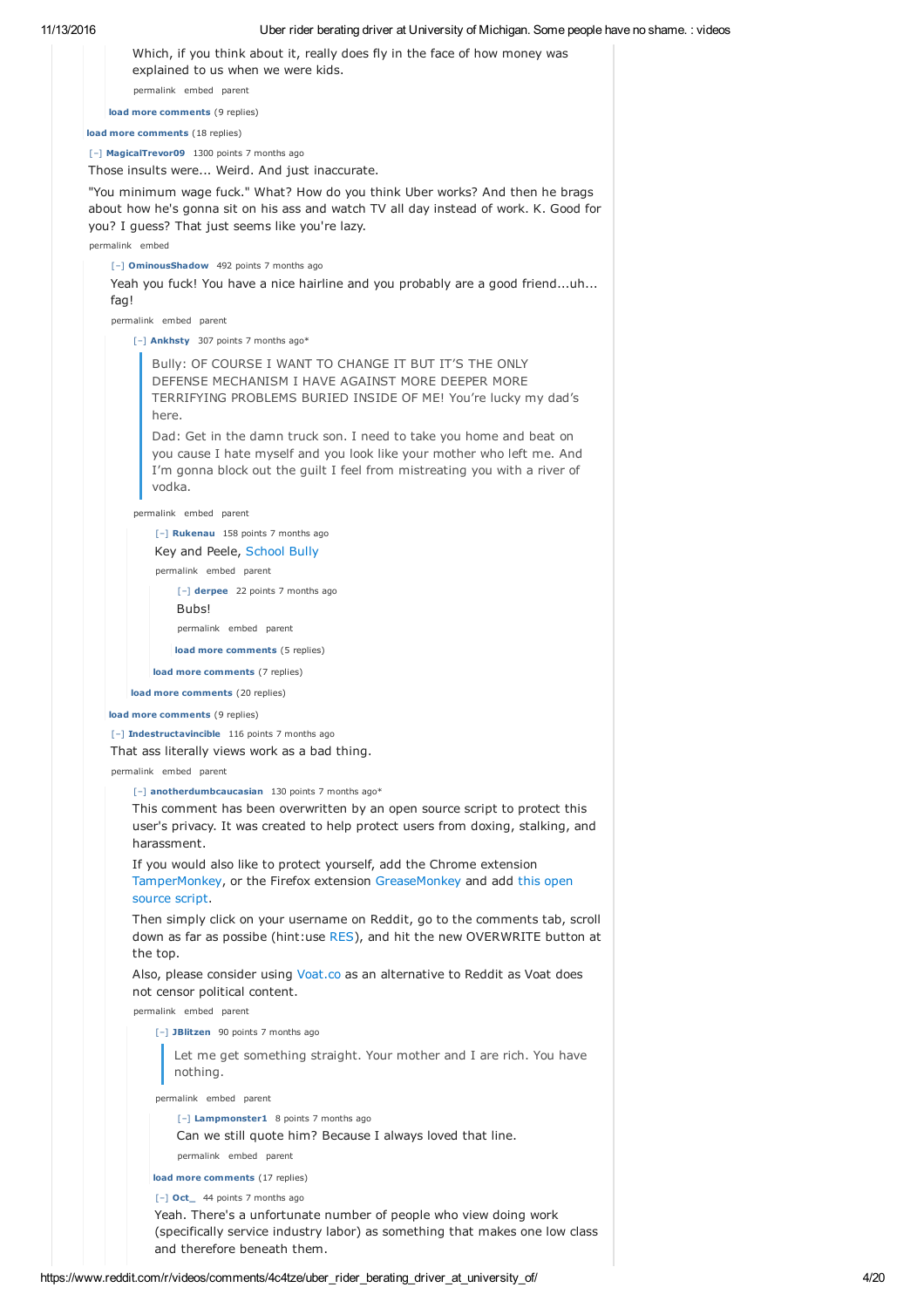|                                                                                                                                                                                        | Which, if you think about it, really does fly in the face of how money was<br>explained to us when we were kids.                                                |                                                                                                                                                                                                                                      |  |
|----------------------------------------------------------------------------------------------------------------------------------------------------------------------------------------|-----------------------------------------------------------------------------------------------------------------------------------------------------------------|--------------------------------------------------------------------------------------------------------------------------------------------------------------------------------------------------------------------------------------|--|
|                                                                                                                                                                                        |                                                                                                                                                                 | permalink embed parent                                                                                                                                                                                                               |  |
|                                                                                                                                                                                        |                                                                                                                                                                 | load more comments (9 replies)                                                                                                                                                                                                       |  |
|                                                                                                                                                                                        |                                                                                                                                                                 | load more comments (18 replies)                                                                                                                                                                                                      |  |
|                                                                                                                                                                                        |                                                                                                                                                                 | [-] MagicalTrevor09 1300 points 7 months ago                                                                                                                                                                                         |  |
|                                                                                                                                                                                        |                                                                                                                                                                 | Those insults were Weird. And just inaccurate.                                                                                                                                                                                       |  |
|                                                                                                                                                                                        |                                                                                                                                                                 | "You minimum wage fuck." What? How do you think Uber works? And then he brags<br>about how he's gonna sit on his ass and watch TV all day instead of work. K. Good for<br>you? I guess? That just seems like you're lazy.            |  |
|                                                                                                                                                                                        |                                                                                                                                                                 | permalink embed                                                                                                                                                                                                                      |  |
|                                                                                                                                                                                        | fag!                                                                                                                                                            | [-] OminousShadow 492 points 7 months ago<br>Yeah you fuck! You have a nice hairline and you probably are a good frienduh                                                                                                            |  |
|                                                                                                                                                                                        |                                                                                                                                                                 | permalink embed parent                                                                                                                                                                                                               |  |
|                                                                                                                                                                                        |                                                                                                                                                                 | [-] Ankhsty 307 points 7 months ago*                                                                                                                                                                                                 |  |
| Bully: OF COURSE I WANT TO CHANGE IT BUT IT'S THE ONLY<br>DEFENSE MECHANISM I HAVE AGAINST MORE DEEPER MORE<br>TERRIFYING PROBLEMS BURIED INSIDE OF ME! You're lucky my dad's<br>here. |                                                                                                                                                                 |                                                                                                                                                                                                                                      |  |
|                                                                                                                                                                                        |                                                                                                                                                                 | Dad: Get in the damn truck son. I need to take you home and beat on<br>you cause I hate myself and you look like your mother who left me. And<br>I'm gonna block out the guilt I feel from mistreating you with a river of<br>vodka. |  |
|                                                                                                                                                                                        |                                                                                                                                                                 | permalink embed parent                                                                                                                                                                                                               |  |
|                                                                                                                                                                                        |                                                                                                                                                                 | [-] Rukenau 158 points 7 months ago                                                                                                                                                                                                  |  |
|                                                                                                                                                                                        |                                                                                                                                                                 | Key and Peele, School Bully                                                                                                                                                                                                          |  |
|                                                                                                                                                                                        |                                                                                                                                                                 | permalink embed parent                                                                                                                                                                                                               |  |
|                                                                                                                                                                                        |                                                                                                                                                                 | [-] derpee 22 points 7 months ago                                                                                                                                                                                                    |  |
|                                                                                                                                                                                        |                                                                                                                                                                 | Bubs!                                                                                                                                                                                                                                |  |
|                                                                                                                                                                                        |                                                                                                                                                                 | permalink embed parent                                                                                                                                                                                                               |  |
|                                                                                                                                                                                        |                                                                                                                                                                 | load more comments (5 replies)                                                                                                                                                                                                       |  |
|                                                                                                                                                                                        |                                                                                                                                                                 | load more comments (7 replies)                                                                                                                                                                                                       |  |
|                                                                                                                                                                                        |                                                                                                                                                                 | load more comments (20 replies)                                                                                                                                                                                                      |  |
|                                                                                                                                                                                        |                                                                                                                                                                 | load more comments (9 replies)                                                                                                                                                                                                       |  |
|                                                                                                                                                                                        |                                                                                                                                                                 | [-] Indestructavincible 116 points 7 months ago                                                                                                                                                                                      |  |
|                                                                                                                                                                                        |                                                                                                                                                                 | That ass literally views work as a bad thing.                                                                                                                                                                                        |  |
|                                                                                                                                                                                        |                                                                                                                                                                 | permalink embed parent                                                                                                                                                                                                               |  |
|                                                                                                                                                                                        |                                                                                                                                                                 | [-] anotherdumbcaucasian 130 points 7 months ago*<br>This comment has been overwritten by an open source script to protect this<br>user's privacy. It was created to help protect users from doxing, stalking, and<br>harassment.    |  |
|                                                                                                                                                                                        | If you would also like to protect yourself, add the Chrome extension<br>TamperMonkey, or the Firefox extension GreaseMonkey and add this open<br>source script. |                                                                                                                                                                                                                                      |  |
|                                                                                                                                                                                        |                                                                                                                                                                 | Then simply click on your username on Reddit, go to the comments tab, scroll<br>down as far as possibe (hint:use RES), and hit the new OVERWRITE button at<br>the top.                                                               |  |
|                                                                                                                                                                                        |                                                                                                                                                                 | Also, please consider using Voat.co as an alternative to Reddit as Voat does<br>not censor political content.                                                                                                                        |  |
|                                                                                                                                                                                        |                                                                                                                                                                 | permalink embed parent<br>[-] JBlitzen 90 points 7 months ago                                                                                                                                                                        |  |
|                                                                                                                                                                                        |                                                                                                                                                                 |                                                                                                                                                                                                                                      |  |
|                                                                                                                                                                                        |                                                                                                                                                                 | Let me get something straight. Your mother and I are rich. You have<br>nothing.                                                                                                                                                      |  |
|                                                                                                                                                                                        |                                                                                                                                                                 | permalink embed parent                                                                                                                                                                                                               |  |
|                                                                                                                                                                                        |                                                                                                                                                                 | [-] Lampmonster1 8 points 7 months ago                                                                                                                                                                                               |  |
|                                                                                                                                                                                        |                                                                                                                                                                 | Can we still quote him? Because I always loved that line.<br>permalink embed parent                                                                                                                                                  |  |
|                                                                                                                                                                                        |                                                                                                                                                                 | load more comments (17 replies)                                                                                                                                                                                                      |  |
|                                                                                                                                                                                        |                                                                                                                                                                 | [-] Oct_ 44 points 7 months ago                                                                                                                                                                                                      |  |
|                                                                                                                                                                                        |                                                                                                                                                                 | Yeah. There's a unfortunate number of people who view doing work                                                                                                                                                                     |  |

and therefore beneath them.

(specifically service industry labor) as something that makes one low class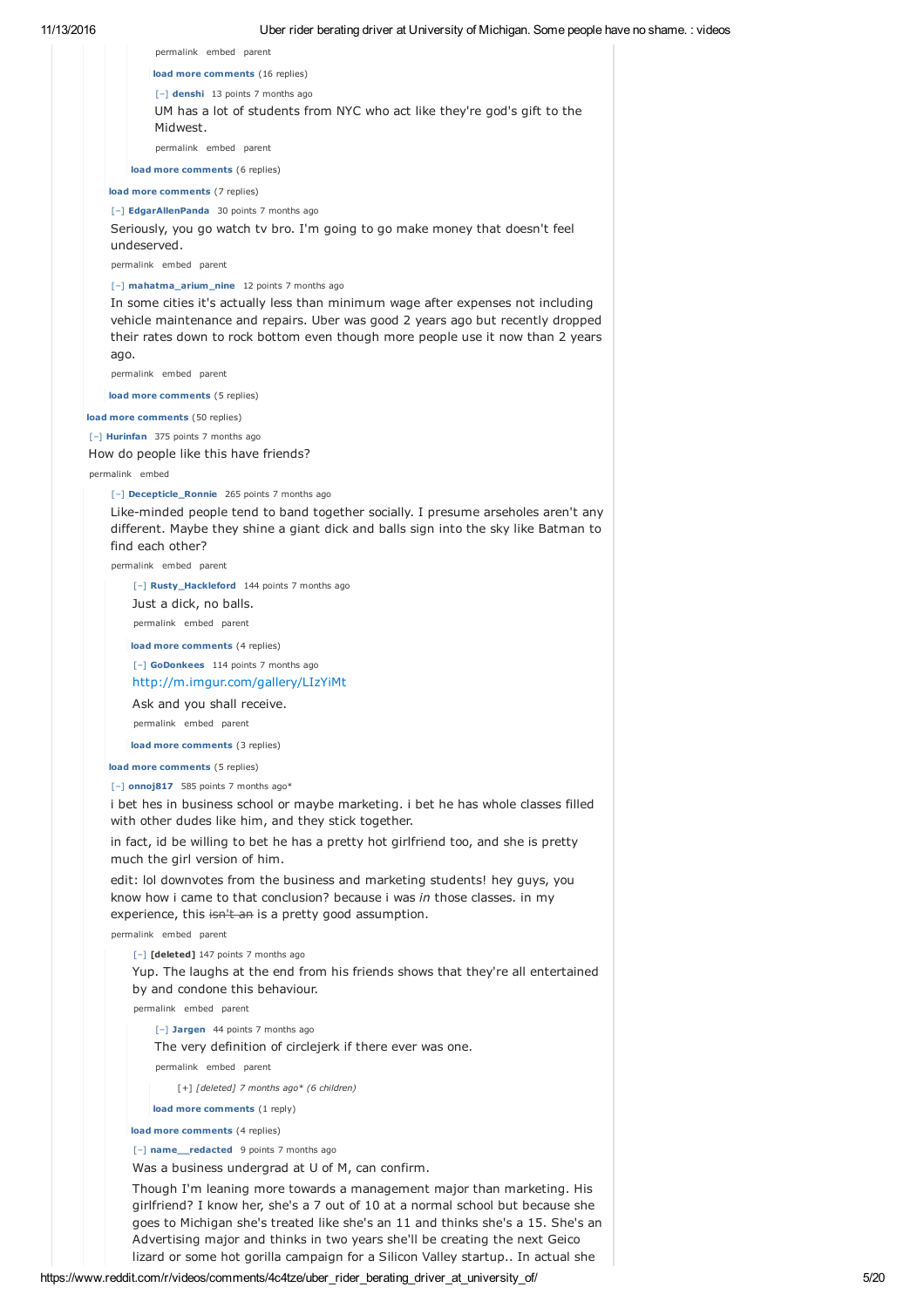| permalink embed parent                                                                                                                                                                                                                                 |
|--------------------------------------------------------------------------------------------------------------------------------------------------------------------------------------------------------------------------------------------------------|
| load more comments (16 replies)                                                                                                                                                                                                                        |
| [-] denshi 13 points 7 months ago                                                                                                                                                                                                                      |
| UM has a lot of students from NYC who act like they're god's gift to the<br>Midwest.                                                                                                                                                                   |
| permalink embed parent                                                                                                                                                                                                                                 |
| load more comments (6 replies)                                                                                                                                                                                                                         |
| load more comments (7 replies)                                                                                                                                                                                                                         |
| [-] EdgarAllenPanda 30 points 7 months ago                                                                                                                                                                                                             |
| Seriously, you go watch tv bro. I'm going to go make money that doesn't feel<br>undeserved.                                                                                                                                                            |
| permalink embed parent                                                                                                                                                                                                                                 |
| [-] mahatma_arium_nine 12 points 7 months ago                                                                                                                                                                                                          |
| In some cities it's actually less than minimum wage after expenses not including<br>vehicle maintenance and repairs. Uber was good 2 years ago but recently dropped<br>their rates down to rock bottom even though more people use it now than 2 years |
| ago.<br>permalink embed parent                                                                                                                                                                                                                         |
| load more comments (5 replies)                                                                                                                                                                                                                         |
|                                                                                                                                                                                                                                                        |
| load more comments (50 replies)                                                                                                                                                                                                                        |
| [-] Hurinfan 375 points 7 months ago<br>How do people like this have friends?                                                                                                                                                                          |
| permalink embed                                                                                                                                                                                                                                        |
| [-] Decepticle_Ronnie 265 points 7 months ago                                                                                                                                                                                                          |
| Like-minded people tend to band together socially. I presume arseholes aren't any                                                                                                                                                                      |
| different. Maybe they shine a giant dick and balls sign into the sky like Batman to<br>find each other?                                                                                                                                                |
| permalink embed parent                                                                                                                                                                                                                                 |
| [-] Rusty_Hackleford 144 points 7 months ago                                                                                                                                                                                                           |
| Just a dick, no balls.                                                                                                                                                                                                                                 |
| permalink embed parent                                                                                                                                                                                                                                 |
| load more comments (4 replies)                                                                                                                                                                                                                         |
| [-] GoDonkees 114 points 7 months ago                                                                                                                                                                                                                  |
| http://m.imgur.com/gallery/LIzYiMt                                                                                                                                                                                                                     |
| Ask and you shall receive.                                                                                                                                                                                                                             |
| permalink embed parent                                                                                                                                                                                                                                 |
| load more comments (3 replies)                                                                                                                                                                                                                         |
| load more comments (5 replies)                                                                                                                                                                                                                         |
| [-] onnoj817 585 points 7 months ago*                                                                                                                                                                                                                  |
| i bet hes in business school or maybe marketing. i bet he has whole classes filled<br>with other dudes like him, and they stick together.                                                                                                              |
| in fact, id be willing to bet he has a pretty hot girlfriend too, and she is pretty<br>much the girl version of him.                                                                                                                                   |
| edit: lol downvotes from the business and marketing students! hey guys, you<br>know how i came to that conclusion? because i was in those classes. in my<br>experience, this isn't an is a pretty good assumption.<br>permalink embed parent           |
| [-] [deleted] 147 points 7 months ago                                                                                                                                                                                                                  |
| Yup. The laughs at the end from his friends shows that they're all entertained                                                                                                                                                                         |
| by and condone this behaviour.                                                                                                                                                                                                                         |
| permalink embed parent                                                                                                                                                                                                                                 |
| [-] Jargen 44 points 7 months ago                                                                                                                                                                                                                      |
| The very definition of circlejerk if there ever was one.                                                                                                                                                                                               |
| permalink embed parent                                                                                                                                                                                                                                 |
| [+] [deleted] 7 months ago* (6 children)                                                                                                                                                                                                               |
| load more comments (1 reply)                                                                                                                                                                                                                           |
| load more comments (4 replies)                                                                                                                                                                                                                         |
| [-] name_redacted 9 points 7 months ago                                                                                                                                                                                                                |
| Was a business undergrad at U of M, can confirm.                                                                                                                                                                                                       |
| Though I'm leaning more towards a management major than marketing. His                                                                                                                                                                                 |

girlfriend? I know her, she's a 7 out of 10 at a normal school but because she goes to Michigan she's treated like she's an 11 and thinks she's a 15. She's an Advertising major and thinks in two years she'll be creating the next Geico lizard or some hot gorilla campaign for a Silicon Valley startup.. In actual she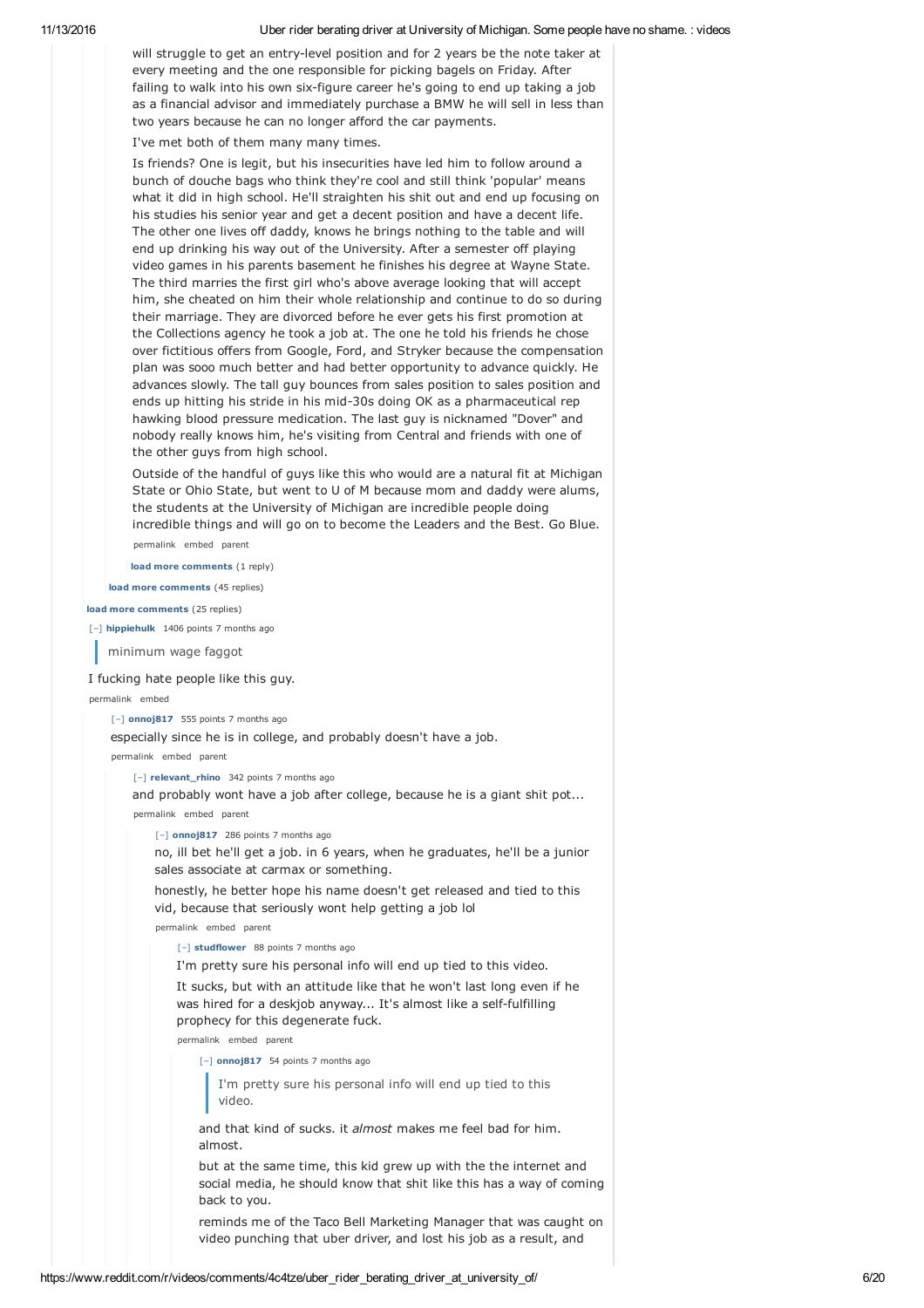will struggle to get an entry-level position and for 2 years be the note taker at every meeting and the one responsible for picking bagels on Friday. After failing to walk into his own six-figure career he's going to end up taking a job as a financial advisor and immediately purchase a BMW he will sell in less than two years because he can no longer afford the car payments.

I've met both of them many many times.

Is friends? One is legit, but his insecurities have led him to follow around a bunch of douche bags who think they're cool and still think 'popular' means what it did in high school. He'll straighten his shit out and end up focusing on his studies his senior year and get a decent position and have a decent life. The other one lives off daddy, knows he brings nothing to the table and will end up drinking his way out of the University. After a semester off playing video games in his parents basement he finishes his degree at Wayne State. The third marries the first girl who's above average looking that will accept him, she cheated on him their whole relationship and continue to do so during their marriage. They are divorced before he ever gets his first promotion at the Collections agency he took a job at. The one he told his friends he chose over fictitious offers from Google, Ford, and Stryker because the compensation plan was sooo much better and had better opportunity to advance quickly. He advances slowly. The tall guy bounces from sales position to sales position and ends up hitting his stride in his mid-30s doing OK as a pharmaceutical rep hawking blood pressure medication. The last guy is nicknamed "Dover" and nobody really knows him, he's visiting from Central and friends with one of the other guys from high school.

Outside of the handful of guys like this who would are a natural fit at Michigan State or Ohio State, but went to U of M because mom and daddy were alums, the students at the University of Michigan are incredible people doing incredible things and will go on to become the Leaders and the Best. Go Blue. permalink embed parent

**load more comments** (1 reply)

**load more comments** (45 replies)

#### **load more comments** (25 replies)

[–] **hippiehulk** 1406 points 7 months ago

minimum wage faggot

## I fucking hate people like this guy.

permalink embed

# [–] **onnoj817** 555 points 7 months ago

especially since he is in college, and probably doesn't have a job.

permalink embed parent

[–] **relevant\_rhino** 342 points 7 months ago

and probably wont have a job after college, because he is a giant shit pot... permalink embed parent

[–] **onnoj817** 286 points 7 months ago

no, ill bet he'll get a job. in 6 years, when he graduates, he'll be a junior sales associate at carmax or something.

honestly, he better hope his name doesn't get released and tied to this vid, because that seriously wont help getting a job lol

permalink embed parent

# [–] **studflower** 88 points 7 months ago

I'm pretty sure his personal info will end up tied to this video.

It sucks, but with an attitude like that he won't last long even if he was hired for a deskjob anyway... It's almost like a self-fulfilling prophecy for this degenerate fuck.

permalink embed parent

[–] **onnoj817** 54 points 7 months ago

I'm pretty sure his personal info will end up tied to this video.

and that kind of sucks. it *almost* makes me feel bad for him. almost.

but at the same time, this kid grew up with the the internet and social media, he should know that shit like this has a way of coming back to you.

reminds me of the Taco Bell Marketing Manager that was caught on video punching that uber driver, and lost his job as a result, and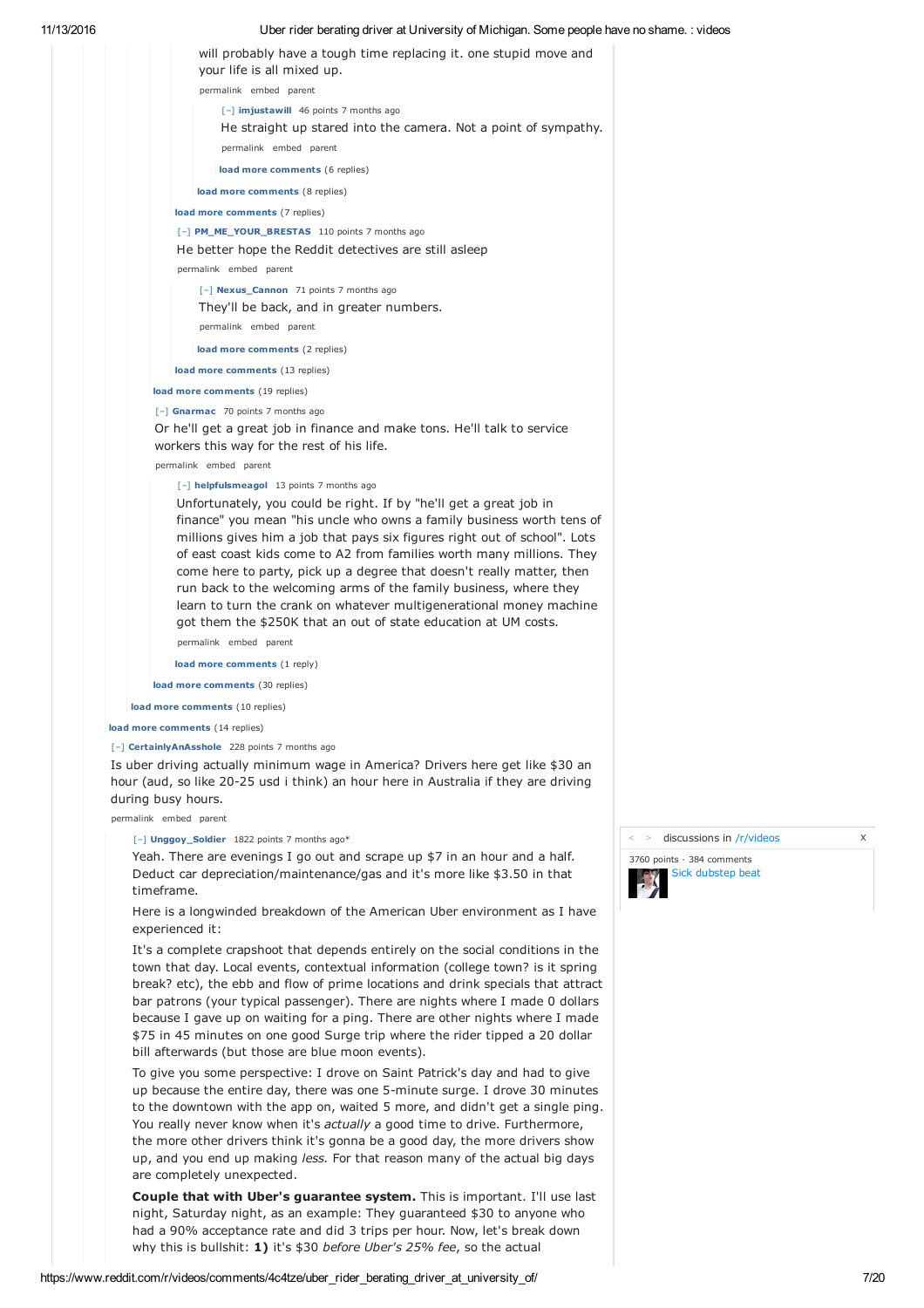| 11/13/2016 | Uber rider berating driver at University of Michigan. Some people have no shame. : videos       |  |
|------------|-------------------------------------------------------------------------------------------------|--|
|            | will probably have a tough time replacing it, one stupid move and<br>your life is all mixed up. |  |
|            | permalink embed parent                                                                          |  |
|            | [-] imjustawill 46 points 7 months ago                                                          |  |
|            | He straight up stared into the camera. Not a point of sympathy.<br>permalink embed parent       |  |
|            | load more comments (6 replies)                                                                  |  |
|            | load more comments (8 replies)                                                                  |  |
|            | load more comments (7 replies)                                                                  |  |
|            | [-] PM ME YOUR BRESTAS 110 points 7 months ago                                                  |  |
|            | He better hope the Reddit detectives are still as eep                                           |  |
|            | permalink embed parent                                                                          |  |
|            | [-] Nexus_Cannon 71 points 7 months ago                                                         |  |
|            | They'll be back, and in greater numbers.                                                        |  |
|            | permalink embed parent                                                                          |  |
|            | load more comments (2 replies)                                                                  |  |
|            | load more comments (13 replies)                                                                 |  |
|            | load more comments (19 replies)                                                                 |  |
|            | $[-]$ Gnarmac 70 points 7 months ago                                                            |  |
|            | On hell ast a speat ish in finance and male tens. Hell talk to comice                           |  |

Or he'll get a great job in finance and make tons. He'll talk to service workers this way for the rest of his life.

permalink embed parent

# [–] **helpfulsmeagol** 13 points 7 months ago

Unfortunately, you could be right. If by "he'll get a great job in finance" you mean "his uncle who owns a family business worth tens of millions gives him a job that pays six figures right out of school". Lots of east coast kids come to A2 from families worth many millions. They come here to party, pick up a degree that doesn't really matter, then run back to the welcoming arms of the family business, where they learn to turn the crank on whatever multigenerational money machine got them the \$250K that an out of state education at UM costs.

permalink embed parent

**load more comments** (1 reply)

**load more comments** (30 replies)

**load more comments** (10 replies)

**load more comments** (14 replies)

## [–] **CertainlyAnAsshole** 228 points 7 months ago

Is uber driving actually minimum wage in America? Drivers here get like \$30 an hour (aud, so like 20-25 usd i think) an hour here in Australia if they are driving during busy hours.

permalink embed parent

[–] **Unggoy\_Soldier** 1822 points 7 months ago\*

Yeah. There are evenings I go out and scrape up \$7 in an hour and a half. Deduct car depreciation/maintenance/gas and it's more like \$3.50 in that timeframe.

Here is a longwinded breakdown of the American Uber environment as I have experienced it:

It's a complete crapshoot that depends entirely on the social conditions in the town that day. Local events, contextual information (college town? is it spring break? etc), the ebb and flow of prime locations and drink specials that attract bar patrons (your typical passenger). There are nights where I made 0 dollars because I gave up on waiting for a ping. There are other nights where I made \$75 in 45 minutes on one good Surge trip where the rider tipped a 20 dollar bill afterwards (but those are blue moon events).

To give you some perspective: I drove on Saint Patrick's day and had to give up because the entire day, there was one 5-minute surge. I drove 30 minutes to the downtown with the app on, waited 5 more, and didn't get a single ping. You really never know when it's *actually* a good time to drive. Furthermore, the more other drivers think it's gonna be a good day, the more drivers show up, and you end up making *less.* For that reason many of the actual big days are completely unexpected.

**Couple that with Uber's guarantee system.** This is important. I'll use last night, Saturday night, as an example: They guaranteed \$30 to anyone who had a 90% acceptance rate and did 3 trips per hour. Now, let's break down why this is bullshit: **1)** it's \$30 *before Uber's 25% fee*, so the actual

> discussions in /r/videos X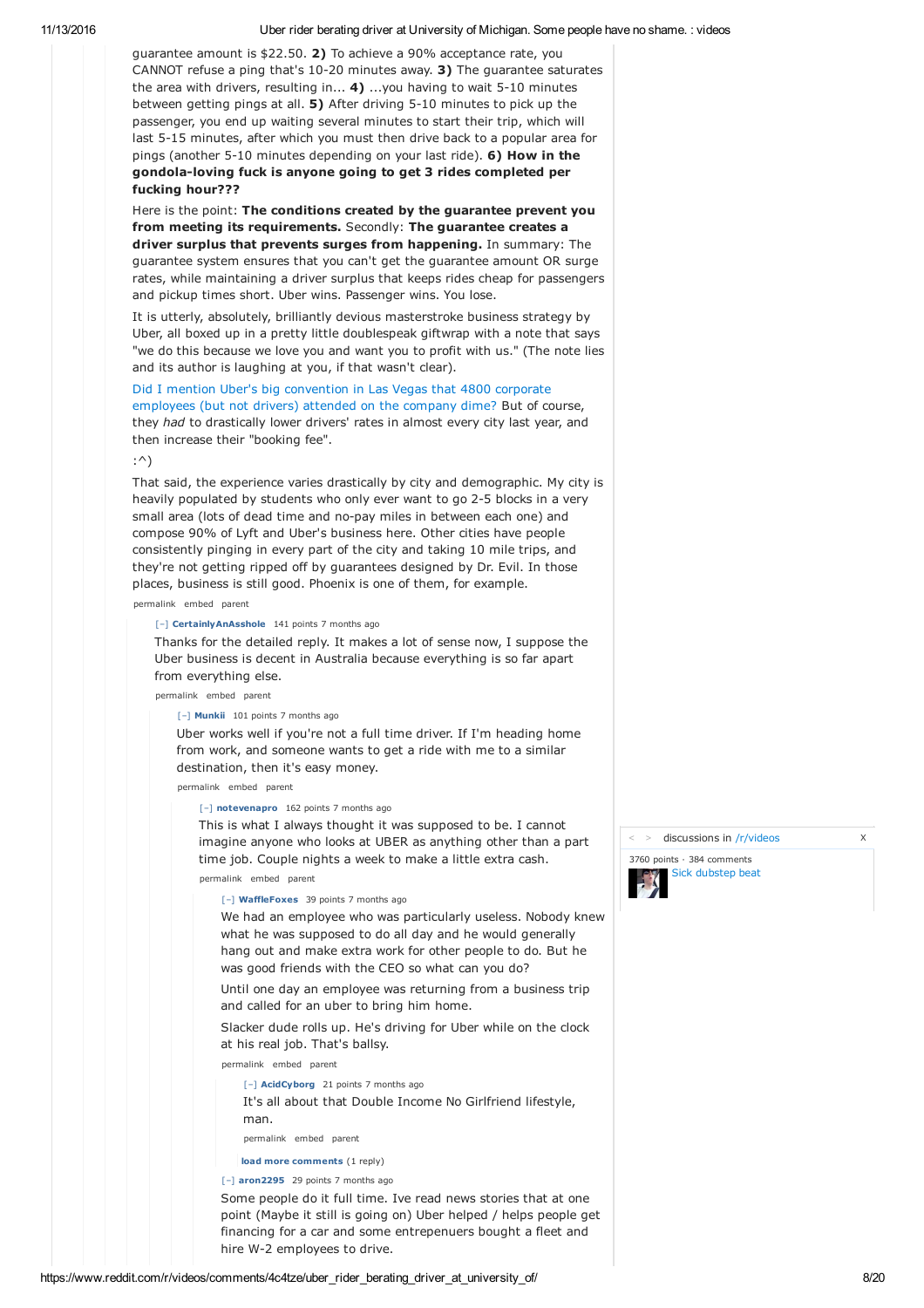guarantee amount is \$22.50. **2)** To achieve a 90% acceptance rate, you CANNOT refuse a ping that's 10-20 minutes away. **3)** The guarantee saturates the area with drivers, resulting in... **4)** ...you having to wait 5-10 minutes between getting pings at all. **5)** After driving 5-10 minutes to pick up the passenger, you end up waiting several minutes to start their trip, which will last 5-15 minutes, after which you must then drive back to a popular area for pings (another 5-10 minutes depending on your last ride). **6) How in the gondola-loving fuck is anyone going to get 3 rides completed per fucking hour???**

Here is the point: **The conditions created by the guarantee prevent you from meeting its requirements.** Secondly: **The guarantee creates a driver surplus that prevents surges from happening.** In summary: The guarantee system ensures that you can't get the guarantee amount OR surge rates, while maintaining a driver surplus that keeps rides cheap for passengers and pickup times short. Uber wins. Passenger wins. You lose.

It is utterly, absolutely, brilliantly devious masterstroke business strategy by Uber, all boxed up in a pretty little doublespeak giftwrap with a note that says "we do this because we love you and want you to profit with us." (The note lies and its author is laughing at you, if that wasn't clear).

Did I mention Uber's big convention in Las Vegas that 4800 corporate employees (but not drivers) attended on the company dime? But of course, they *had* to drastically lower drivers' rates in almost every city last year, and then increase their "booking fee".

# :^)

That said, the experience varies drastically by city and demographic. My city is heavily populated by students who only ever want to go 2-5 blocks in a very small area (lots of dead time and no-pay miles in between each one) and compose 90% of Lyft and Uber's business here. Other cities have people consistently pinging in every part of the city and taking 10 mile trips, and they're not getting ripped off by guarantees designed by Dr. Evil. In those places, business is still good. Phoenix is one of them, for example.

permalink embed parent

# [–] **CertainlyAnAsshole** 141 points 7 months ago

Thanks for the detailed reply. It makes a lot of sense now, I suppose the Uber business is decent in Australia because everything is so far apart from everything else.

permalink embed parent

# [–] **Munkii** 101 points 7 months ago

Uber works well if you're not a full time driver. If I'm heading home from work, and someone wants to get a ride with me to a similar destination, then it's easy money.

permalink embed parent

## [–] **notevenapro** 162 points 7 months ago

This is what I always thought it was supposed to be. I cannot imagine anyone who looks at UBER as anything other than a part time job. Couple nights a week to make a little extra cash.

permalink embed parent

#### [–] **WaffleFoxes** 39 points 7 months ago

We had an employee who was particularly useless. Nobody knew what he was supposed to do all day and he would generally hang out and make extra work for other people to do. But he was good friends with the CEO so what can you do?

Until one day an employee was returning from a business trip and called for an uber to bring him home.

Slacker dude rolls up. He's driving for Uber while on the clock at his real job. That's ballsy.

permalink embed parent

[–] **AcidCyborg** 21 points 7 months ago

It's all about that Double Income No Girlfriend lifestyle, man.

permalink embed parent

**load more comments** (1 reply)

[–] **aron2295** 29 points 7 months ago

Some people do it full time. Ive read news stories that at one point (Maybe it still is going on) Uber helped / helps people get financing for a car and some entrepenuers bought a fleet and hire W-2 employees to drive.

> discussions in /r/videos X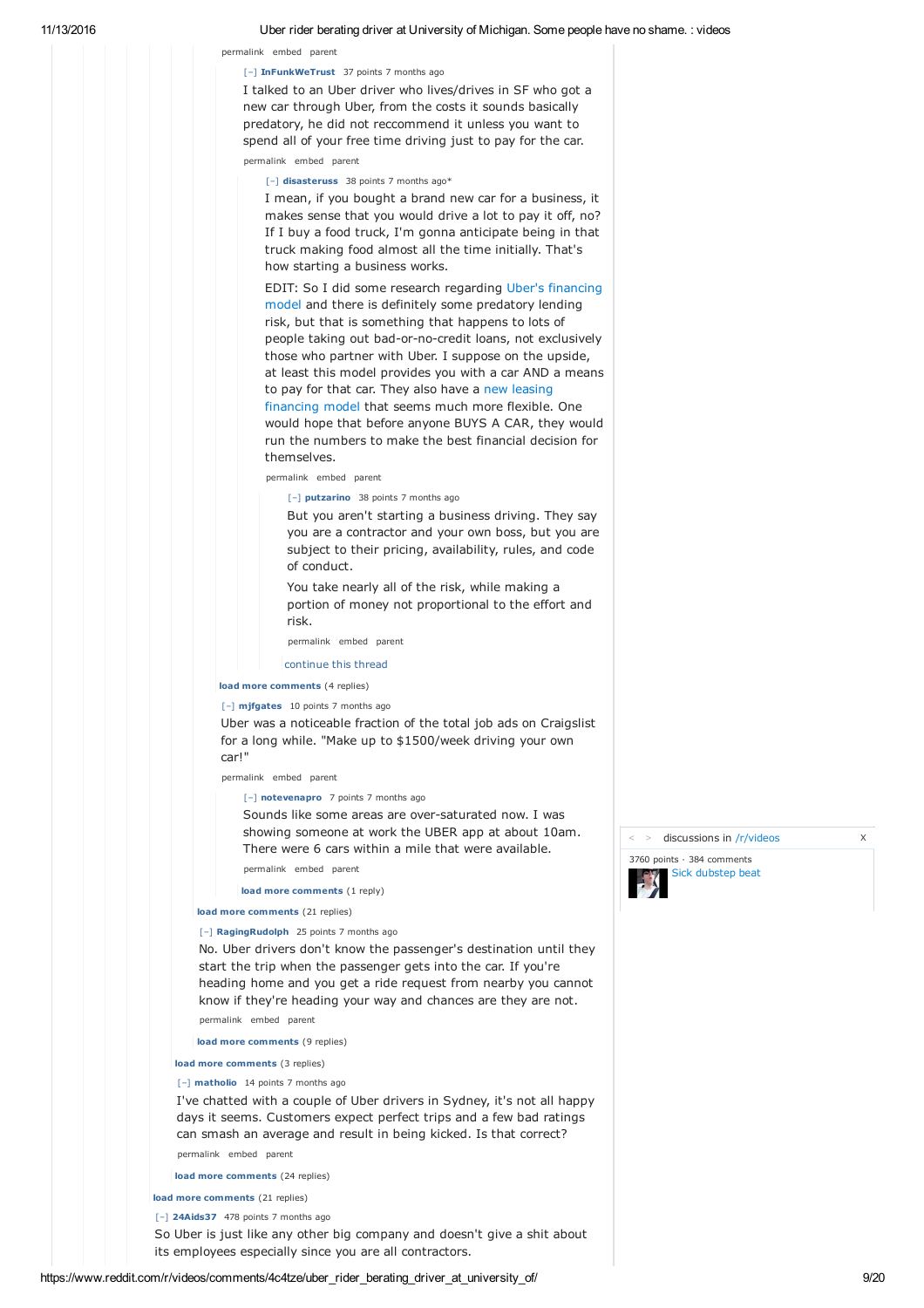# permalink embed parent

## [–] **InFunkWeTrust** 37 points 7 months ago

I talked to an Uber driver who lives/drives in SF who got a new car through Uber, from the costs it sounds basically predatory, he did not reccommend it unless you want to spend all of your free time driving just to pay for the car. permalink embed parent

[–] **disasteruss** 38 points 7 months ago\*

I mean, if you bought a brand new car for a business, it makes sense that you would drive a lot to pay it off, no? If I buy a food truck, I'm gonna anticipate being in that truck making food almost all the time initially. That's how starting a business works.

EDIT: So I did some research regarding Uber's financing model and there is definitely some predatory lending risk, but that is something that happens to lots of people taking out bad-or-no-credit loans, not exclusively those who partner with Uber. I suppose on the upside, at least this model provides you with a car AND a means to pay for that car. They also have a new leasing financing model that seems much more flexible. One would hope that before anyone BUYS A CAR, they would run the numbers to make the best financial decision for themselves.

permalink embed parent

[–] **putzarino** 38 points 7 months ago

But you aren't starting a business driving. They say you are a contractor and your own boss, but you are subject to their pricing, availability, rules, and code of conduct.

You take nearly all of the risk, while making a portion of money not proportional to the effort and risk.

permalink embed parent

#### continue this thread

**load more comments** (4 replies)

## [–] **mjfgates** 10 points 7 months ago

Uber was a noticeable fraction of the total job ads on Craigslist for a long while. "Make up to \$1500/week driving your own car!"

permalink embed parent

[–] **notevenapro** 7 points 7 months ago

Sounds like some areas are over-saturated now. I was showing someone at work the UBER app at about 10am. There were 6 cars within a mile that were available.

permalink embed parent

**load more comments** (1 reply)

# **load more comments** (21 replies)

#### [–] **RagingRudolph** 25 points 7 months ago

No. Uber drivers don't know the passenger's destination until they start the trip when the passenger gets into the car. If you're heading home and you get a ride request from nearby you cannot know if they're heading your way and chances are they are not.

permalink embed parent

**load more comments** (9 replies)

### **load more comments** (3 replies)

#### [–] **matholio** 14 points 7 months ago

I've chatted with a couple of Uber drivers in Sydney, it's not all happy days it seems. Customers expect perfect trips and a few bad ratings can smash an average and result in being kicked. Is that correct? permalink embed parent

**load more comments** (24 replies)

**load more comments** (21 replies)

[–] **24Aids37** 478 points 7 months ago

So Uber is just like any other big company and doesn't give a shit about its employees especially since you are all contractors.



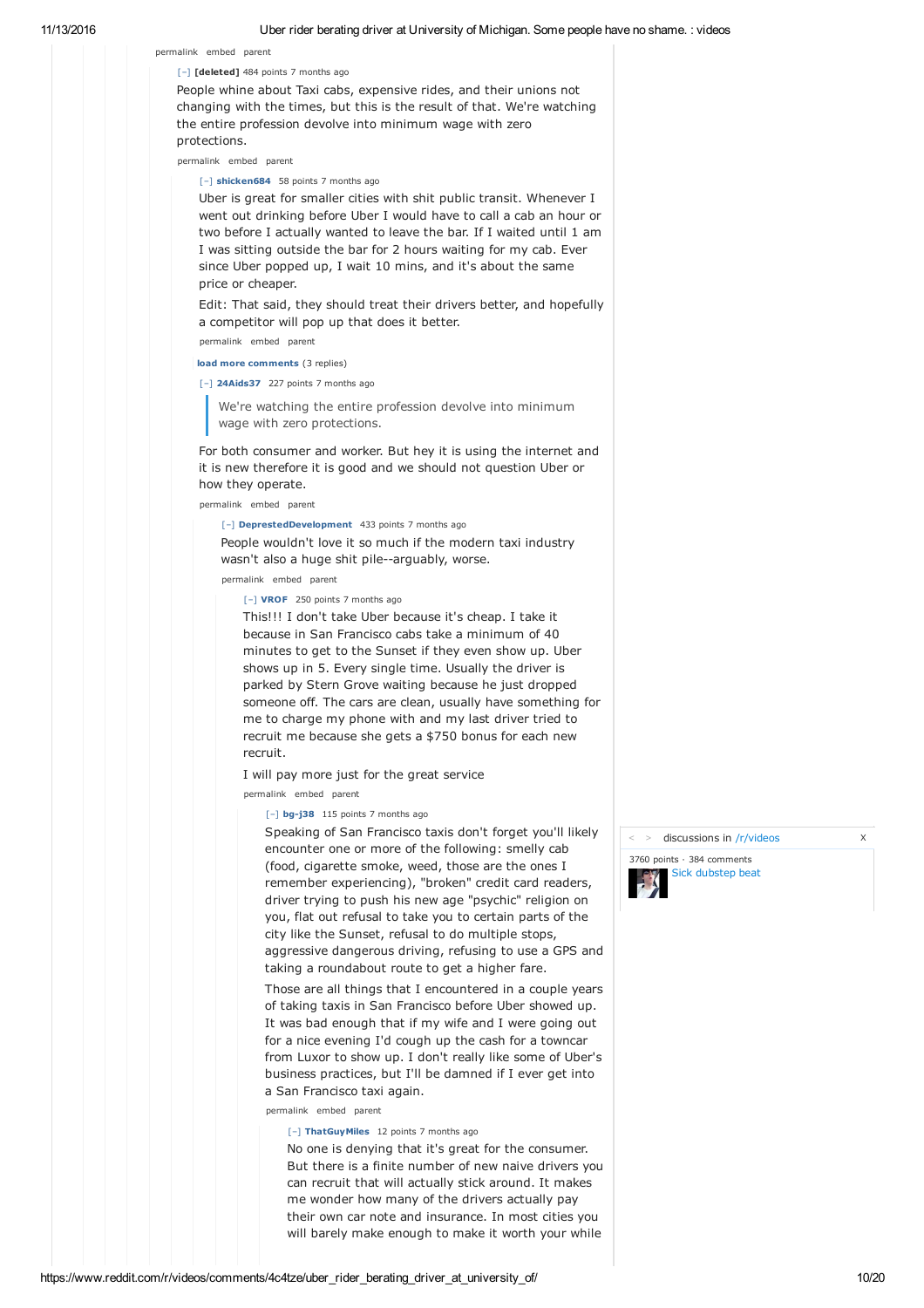# [–] **[deleted]** 484 points 7 months ago

permalink embed parent

People whine about Taxi cabs, expensive rides, and their unions not changing with the times, but this is the result of that. We're watching the entire profession devolve into minimum wage with zero protections.

permalink embed parent

# [–] **shicken684** 58 points 7 months ago

Uber is great for smaller cities with shit public transit. Whenever I went out drinking before Uber I would have to call a cab an hour or two before I actually wanted to leave the bar. If I waited until 1 am I was sitting outside the bar for 2 hours waiting for my cab. Ever since Uber popped up, I wait 10 mins, and it's about the same price or cheaper.

Edit: That said, they should treat their drivers better, and hopefully a competitor will pop up that does it better.

permalink embed parent

**load more comments** (3 replies)

[–] **24Aids37** 227 points 7 months ago

We're watching the entire profession devolve into minimum wage with zero protections.

For both consumer and worker. But hey it is using the internet and it is new therefore it is good and we should not question Uber or how they operate.

permalink embed parent

[–] **DeprestedDevelopment** 433 points 7 months ago

People wouldn't love it so much if the modern taxi industry wasn't also a huge shit pile--arguably, worse.

permalink embed parent

[–] **VROF** 250 points 7 months ago

This!!! I don't take Uber because it's cheap. I take it because in San Francisco cabs take a minimum of 40 minutes to get to the Sunset if they even show up. Uber shows up in 5. Every single time. Usually the driver is parked by Stern Grove waiting because he just dropped someone off. The cars are clean, usually have something for me to charge my phone with and my last driver tried to recruit me because she gets a \$750 bonus for each new recruit.

I will pay more just for the great service

permalink embed parent

## [–] **bg-j38** 115 points 7 months ago

Speaking of San Francisco taxis don't forget you'll likely encounter one or more of the following: smelly cab (food, cigarette smoke, weed, those are the ones I remember experiencing), "broken" credit card readers, driver trying to push his new age "psychic" religion on you, flat out refusal to take you to certain parts of the city like the Sunset, refusal to do multiple stops, aggressive dangerous driving, refusing to use a GPS and taking a roundabout route to get a higher fare.

Those are all things that I encountered in a couple years of taking taxis in San Francisco before Uber showed up. It was bad enough that if my wife and I were going out for a nice evening I'd cough up the cash for a towncar from Luxor to show up. I don't really like some of Uber's business practices, but I'll be damned if I ever get into a San Francisco taxi again.

permalink embed parent

[–] **ThatGuyMiles** 12 points 7 months ago

No one is denying that it's great for the consumer. But there is a finite number of new naive drivers you can recruit that will actually stick around. It makes me wonder how many of the drivers actually pay their own car note and insurance. In most cities you will barely make enough to make it worth your while

> discussions in /r/videos X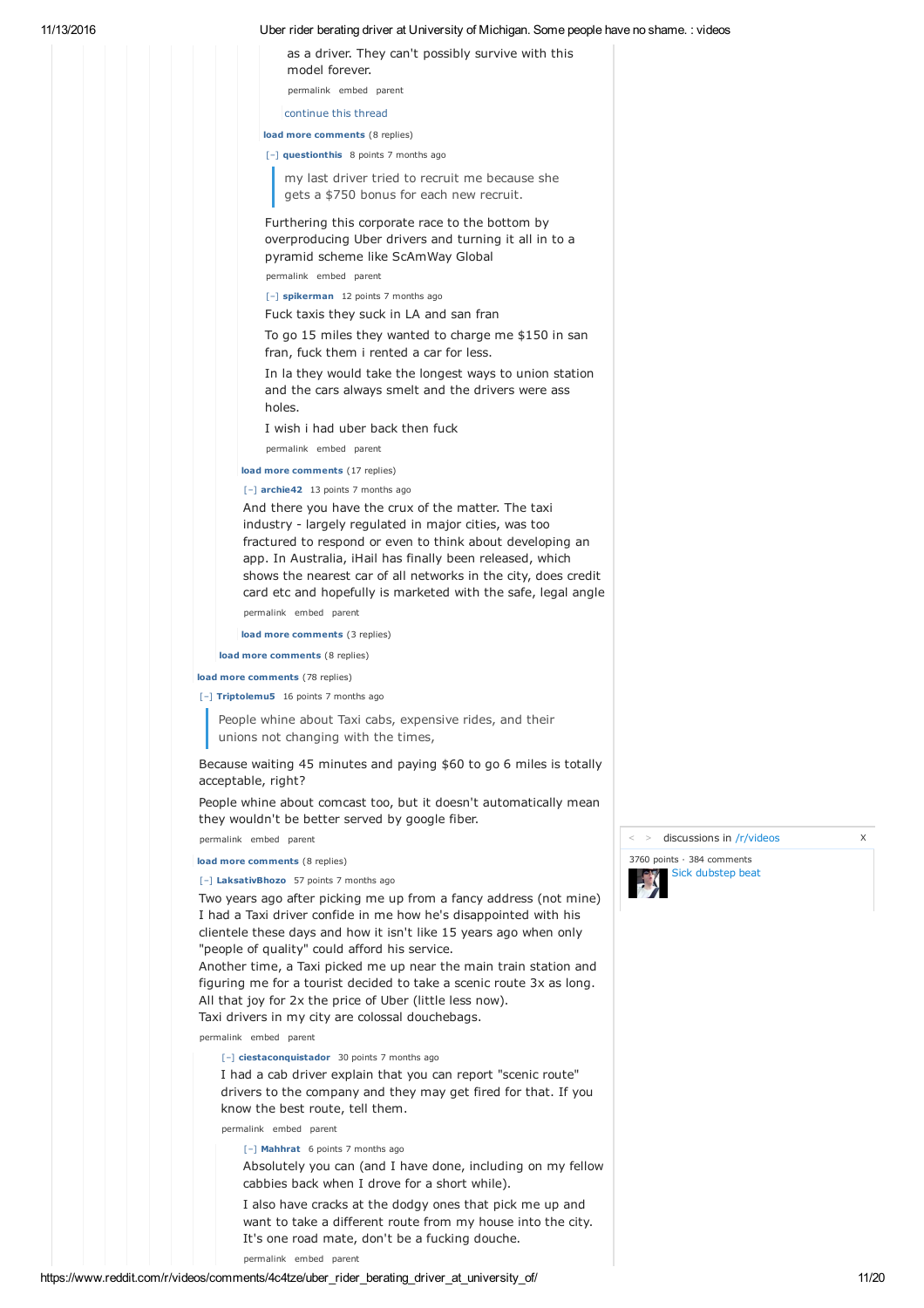## 11/13/2016 Uber rider berating driver at University of Michigan. Some people have no shame. : videos

as a driver. They can't possibly survive with this model forever. permalink embed parent

continue this thread

**load more comments** (8 replies)

[–] **questionthis** 8 points 7 months ago

my last driver tried to recruit me because she gets a \$750 bonus for each new recruit.

Furthering this corporate race to the bottom by overproducing Uber drivers and turning it all in to a pyramid scheme like ScAmWay Global

permalink embed parent

[–] **spikerman** 12 points 7 months ago

Fuck taxis they suck in LA and san fran

To go 15 miles they wanted to charge me \$150 in san fran, fuck them i rented a car for less.

In la they would take the longest ways to union station and the cars always smelt and the drivers were ass holes.

I wish i had uber back then fuck permalink embed parent

**load more comments** (17 replies)

[–] **archie42** 13 points 7 months ago

And there you have the crux of the matter. The taxi industry - largely regulated in major cities, was too fractured to respond or even to think about developing an app. In Australia, iHail has finally been released, which shows the nearest car of all networks in the city, does credit card etc and hopefully is marketed with the safe, legal angle permalink embed parent

**load more comments** (3 replies)

**load more comments** (8 replies)

**load more comments** (78 replies)

[–] **Triptolemu5** 16 points 7 months ago

People whine about Taxi cabs, expensive rides, and their unions not changing with the times,

Because waiting 45 minutes and paying \$60 to go 6 miles is totally acceptable, right?

People whine about comcast too, but it doesn't automatically mean they wouldn't be better served by google fiber.

permalink embed parent

**load more comments** (8 replies)

#### [–] **LaksativBhozo** 57 points 7 months ago

Two years ago after picking me up from a fancy address (not mine) I had a Taxi driver confide in me how he's disappointed with his clientele these days and how it isn't like 15 years ago when only "people of quality" could afford his service.

Another time, a Taxi picked me up near the main train station and figuring me for a tourist decided to take a scenic route 3x as long. All that joy for 2x the price of Uber (little less now). Taxi drivers in my city are colossal douchebags.

permalink embed parent

#### [–] **ciestaconquistador** 30 points 7 months ago

I had a cab driver explain that you can report "scenic route" drivers to the company and they may get fired for that. If you know the best route, tell them.

permalink embed parent

[–] **Mahhrat** 6 points 7 months ago

Absolutely you can (and I have done, including on my fellow cabbies back when I drove for a short while).

I also have cracks at the dodgy ones that pick me up and want to take a different route from my house into the city. It's one road mate, don't be a fucking douche.

permalink embed parent





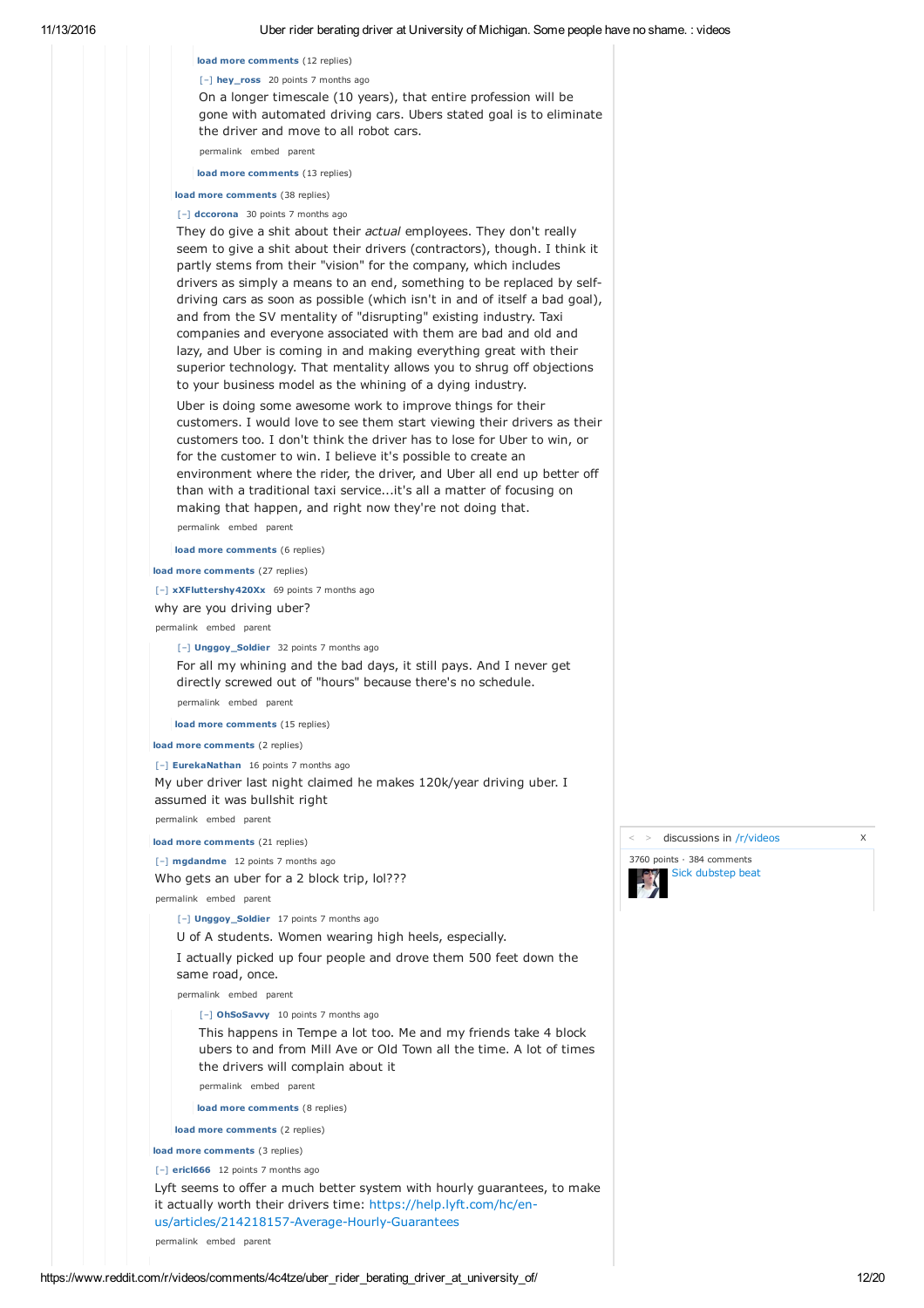**load more comments** (12 replies) [–] **hey\_ross** 20 points 7 months ago On a longer timescale (10 years), that entire profession will be gone with automated driving cars. Ubers stated goal is to eliminate the driver and move to all robot cars. permalink embed parent

**load more comments** (13 replies)

**load more comments** (38 replies)

## [–] **dccorona** 30 points 7 months ago

They do give a shit about their *actual* employees. They don't really seem to give a shit about their drivers (contractors), though. I think it partly stems from their "vision" for the company, which includes drivers as simply a means to an end, something to be replaced by selfdriving cars as soon as possible (which isn't in and of itself a bad goal), and from the SV mentality of "disrupting" existing industry. Taxi companies and everyone associated with them are bad and old and lazy, and Uber is coming in and making everything great with their superior technology. That mentality allows you to shrug off objections to your business model as the whining of a dying industry.

Uber is doing some awesome work to improve things for their customers. I would love to see them start viewing their drivers as their customers too. I don't think the driver has to lose for Uber to win, or for the customer to win. I believe it's possible to create an environment where the rider, the driver, and Uber all end up better off than with a traditional taxi service...it's all a matter of focusing on making that happen, and right now they're not doing that.

permalink embed parent

**load more comments** (6 replies)

**load more comments** (27 replies)

[–] **xXFluttershy420Xx** 69 points 7 months ago

why are you driving uber?

permalink embed parent

[–] **Unggoy\_Soldier** 32 points 7 months ago

For all my whining and the bad days, it still pays. And I never get directly screwed out of "hours" because there's no schedule.

permalink embed parent

**load more comments** (15 replies)

**load more comments** (2 replies)

[–] **EurekaNathan** 16 points 7 months ago

My uber driver last night claimed he makes 120k/year driving uber. I assumed it was bullshit right

permalink embed parent

**load more comments** (21 replies)

[–] **mgdandme** 12 points 7 months ago Who gets an uber for a 2 block trip, lol???

permalink embed parent

[–] **Unggoy\_Soldier** 17 points 7 months ago

U of A students. Women wearing high heels, especially.

I actually picked up four people and drove them 500 feet down the same road, once.

permalink embed parent

[–] **OhSoSavvy** 10 points 7 months ago

This happens in Tempe a lot too. Me and my friends take 4 block ubers to and from Mill Ave or Old Town all the time. A lot of times the drivers will complain about it

permalink embed parent

**load more comments** (8 replies)

**load more comments** (2 replies)

**load more comments** (3 replies)

[–] **ericl666** 12 points 7 months ago

Lyft seems to offer a much better system with hourly guarantees, to make it actually worth their drivers time: https://help.lyft.com/hc/enus/articles/214218157-Average-Hourly-Guarantees

permalink embed parent

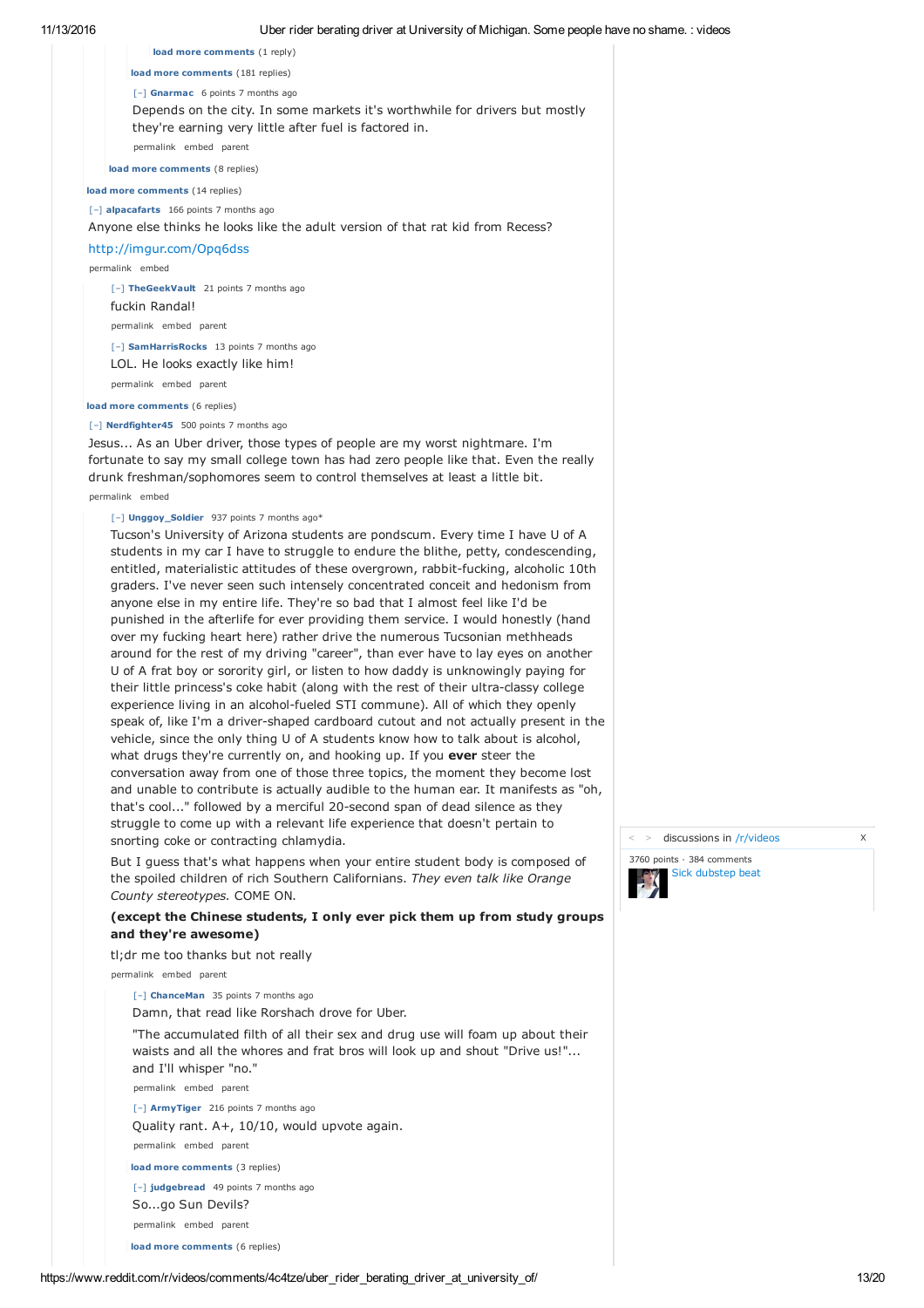| oba Tida ba'ding anyar at Only a any or monigan. Como poopio na                                                                                                                                                                                    |
|----------------------------------------------------------------------------------------------------------------------------------------------------------------------------------------------------------------------------------------------------|
| load more comments (1 reply)                                                                                                                                                                                                                       |
| load more comments (181 replies)                                                                                                                                                                                                                   |
| $[-]$ Gnarmac 6 points 7 months ago                                                                                                                                                                                                                |
| Depends on the city. In some markets it's worthwhile for drivers but mostly<br>they're earning very little after fuel is factored in.                                                                                                              |
| permalink embed parent                                                                                                                                                                                                                             |
| load more comments (8 replies)                                                                                                                                                                                                                     |
| load more comments (14 replies)                                                                                                                                                                                                                    |
| [-] alpacafarts 166 points 7 months ago                                                                                                                                                                                                            |
| Anyone else thinks he looks like the adult version of that rat kid from Recess?                                                                                                                                                                    |
| http://imgur.com/Opg6dss                                                                                                                                                                                                                           |
| permalink embed                                                                                                                                                                                                                                    |
| [-] TheGeekVault 21 points 7 months ago                                                                                                                                                                                                            |
| fuckin Randal!                                                                                                                                                                                                                                     |
| permalink embed parent                                                                                                                                                                                                                             |
| [-] SamHarrisRocks 13 points 7 months ago                                                                                                                                                                                                          |
| LOL. He looks exactly like him!                                                                                                                                                                                                                    |
| permalink embed parent                                                                                                                                                                                                                             |
| load more comments (6 replies)                                                                                                                                                                                                                     |
| [-] Nerdfighter45 500 points 7 months ago                                                                                                                                                                                                          |
| Jesus As an Uber driver, those types of people are my worst nightmare. I'm<br>fortunate to say my small college town has had zero people like that. Even the really<br>drunk freshman/sonhomores seem to control themselves at least a little bit. |

#### permalink embed

# [–] **Unggoy\_Soldier** 937 points 7 months ago\*

Tucson's University of Arizona students are pondscum. Every time I have U of A students in my car I have to struggle to endure the blithe, petty, condescending, entitled, materialistic attitudes of these overgrown, rabbit-fucking, alcoholic 10th graders. I've never seen such intensely concentrated conceit and hedonism from anyone else in my entire life. They're so bad that I almost feel like I'd be punished in the afterlife for ever providing them service. I would honestly (hand over my fucking heart here) rather drive the numerous Tucsonian methheads around for the rest of my driving "career", than ever have to lay eyes on another U of A frat boy or sorority girl, or listen to how daddy is unknowingly paying for their little princess's coke habit (along with the rest of their ultra-classy college experience living in an alcohol-fueled STI commune). All of which they openly speak of, like I'm a driver-shaped cardboard cutout and not actually present in the vehicle, since the only thing U of A students know how to talk about is alcohol, what drugs they're currently on, and hooking up. If you **ever** steer the conversation away from one of those three topics, the moment they become lost and unable to contribute is actually audible to the human ear. It manifests as "oh, that's cool..." followed by a merciful 20-second span of dead silence as they struggle to come up with a relevant life experience that doesn't pertain to snorting coke or contracting chlamydia.

But I guess that's what happens when your entire student body is composed of the spoiled children of rich Southern Californians. *They even talk like Orange County stereotypes.* COME ON.

# **(except the Chinese students, I only ever pick them up from study groups and they're awesome)**

tl;dr me too thanks but not really

permalink embed parent

[–] **ChanceMan** 35 points 7 months ago

Damn, that read like Rorshach drove for Uber.

"The accumulated filth of all their sex and drug use will foam up about their waists and all the whores and frat bros will look up and shout "Drive us!"... and I'll whisper "no."

permalink embed parent

[–] **ArmyTiger** 216 points 7 months ago

Quality rant. A+, 10/10, would upvote again.

permalink embed parent

**load more comments** (3 replies)

[–] **judgebread** 49 points 7 months ago

So...go Sun Devils?

permalink embed parent

**load more comments** (6 replies)

> discussions in /r/videos X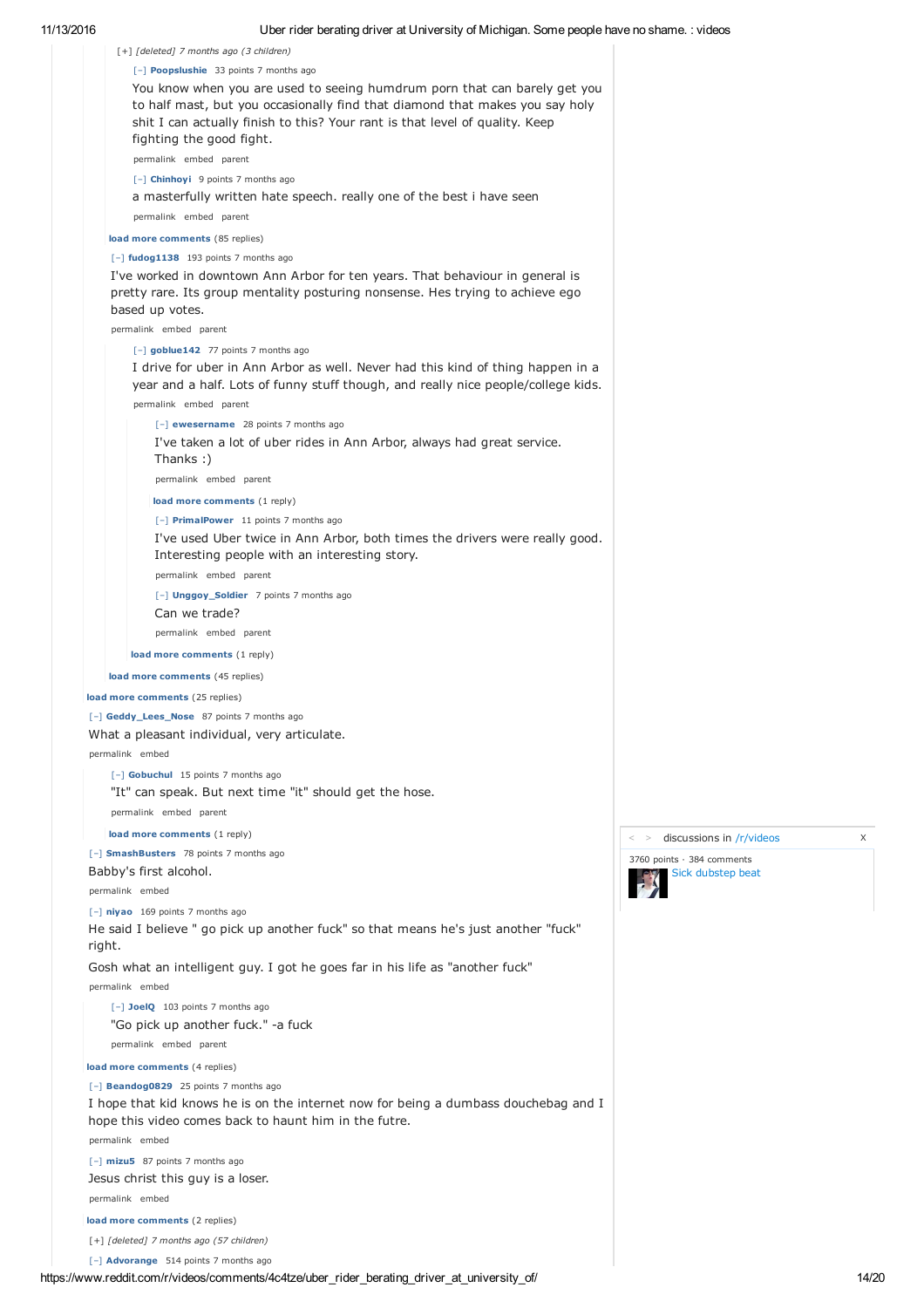

**load more comments** (2 replies)

[+] *[deleted] 7 months ago (57 children)*

[–] **Advorange** 514 points 7 months ago

> discussions in /r/videos X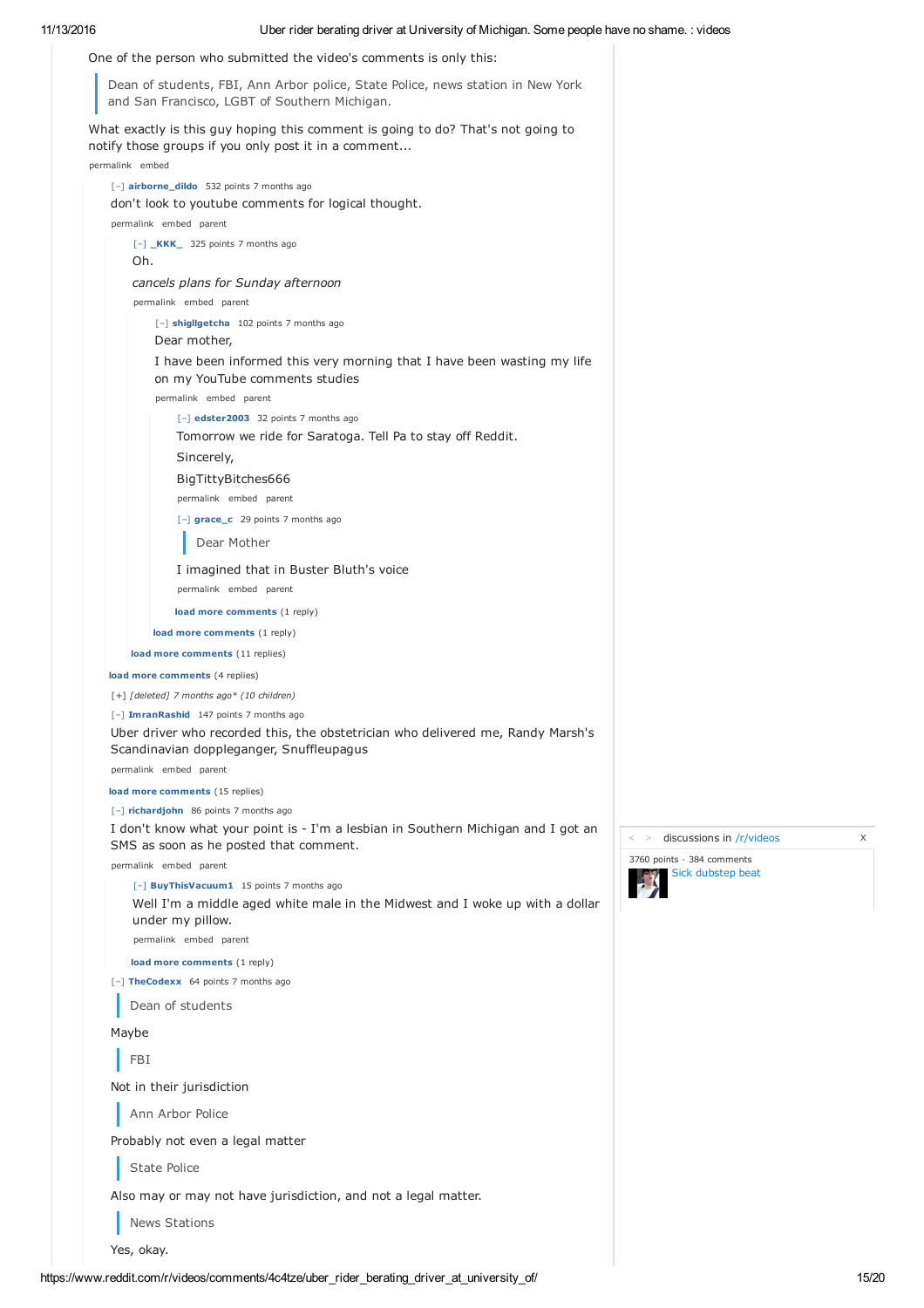11/13/2016 Uber rider berating driver at University of Michigan. Some people have no shame. : videos [–] **Advorange** 514 points 7 months ago One of the person who submitted the video's comments is only this: Dean of students, FBI, Ann Arbor police, State Police, news station in New York and San Francisco, LGBT of Southern Michigan. What exactly is this guy hoping this comment is going to do? That's not going to notify those groups if you only post it in a comment... permalink embed [–] **airborne\_dildo** 532 points 7 months ago don't look to youtube comments for logical thought. permalink embed parent [–] **\_KKK\_** 325 points 7 months ago Oh. *cancels plans for Sunday afternoon* permalink embed parent [–] **shigllgetcha** 102 points 7 months ago Dear mother, I have been informed this very morning that I have been wasting my life on my YouTube comments studies permalink embed parent [–] **edster2003** 32 points 7 months ago Tomorrow we ride for Saratoga. Tell Pa to stay off Reddit. Sincerely, BigTittyBitches666 permalink embed parent [–] **grace\_c** 29 points 7 months ago Dear Mother I imagined that in Buster Bluth's voice permalink embed parent **load more comments** (1 reply) **load more comments** (1 reply) **load more comments** (11 replies) **load more comments** (4 replies) [+] *[deleted] 7 months ago\* (10 children)* [–] **ImranRashid** 147 points 7 months ago Uber driver who recorded this, the obstetrician who delivered me, Randy Marsh's Scandinavian doppleganger, Snuffleupagus permalink embed parent **load more comments** (15 replies) [–] **richardjohn** 86 points 7 months ago I don't know what your point is - I'm a lesbian in Southern Michigan and I got an SMS as soon as he posted that comment. permalink embed parent [–] **BuyThisVacuum1** 15 points 7 months ago Well I'm a middle aged white male in the Midwest and I woke up with a dollar under my pillow. permalink embed parent **load more comments** (1 reply) [–] **TheCodexx** 64 points 7 months ago Dean of students Maybe FBI

Not in their jurisdiction

Ann Arbor Police

Probably not even a legal matter

State Police

Also may or may not have jurisdiction, and not a legal matter.

News Stations

Yes, okay.

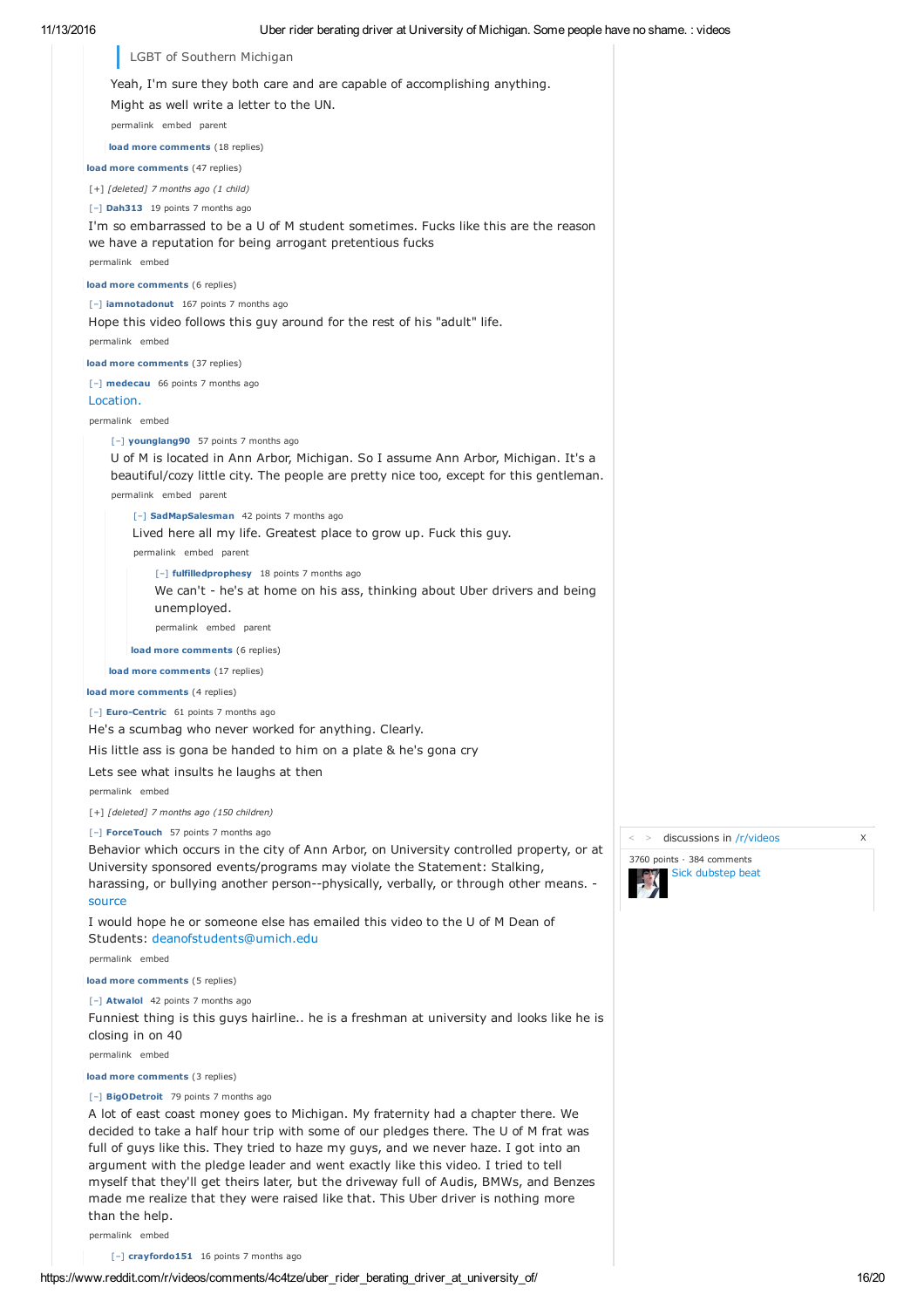

than the help. permalink embed

[–] **crayfordo151** 16 points 7 months ago

made me realize that they were raised like that. This Uber driver is nothing more

> discussions in /r/videos X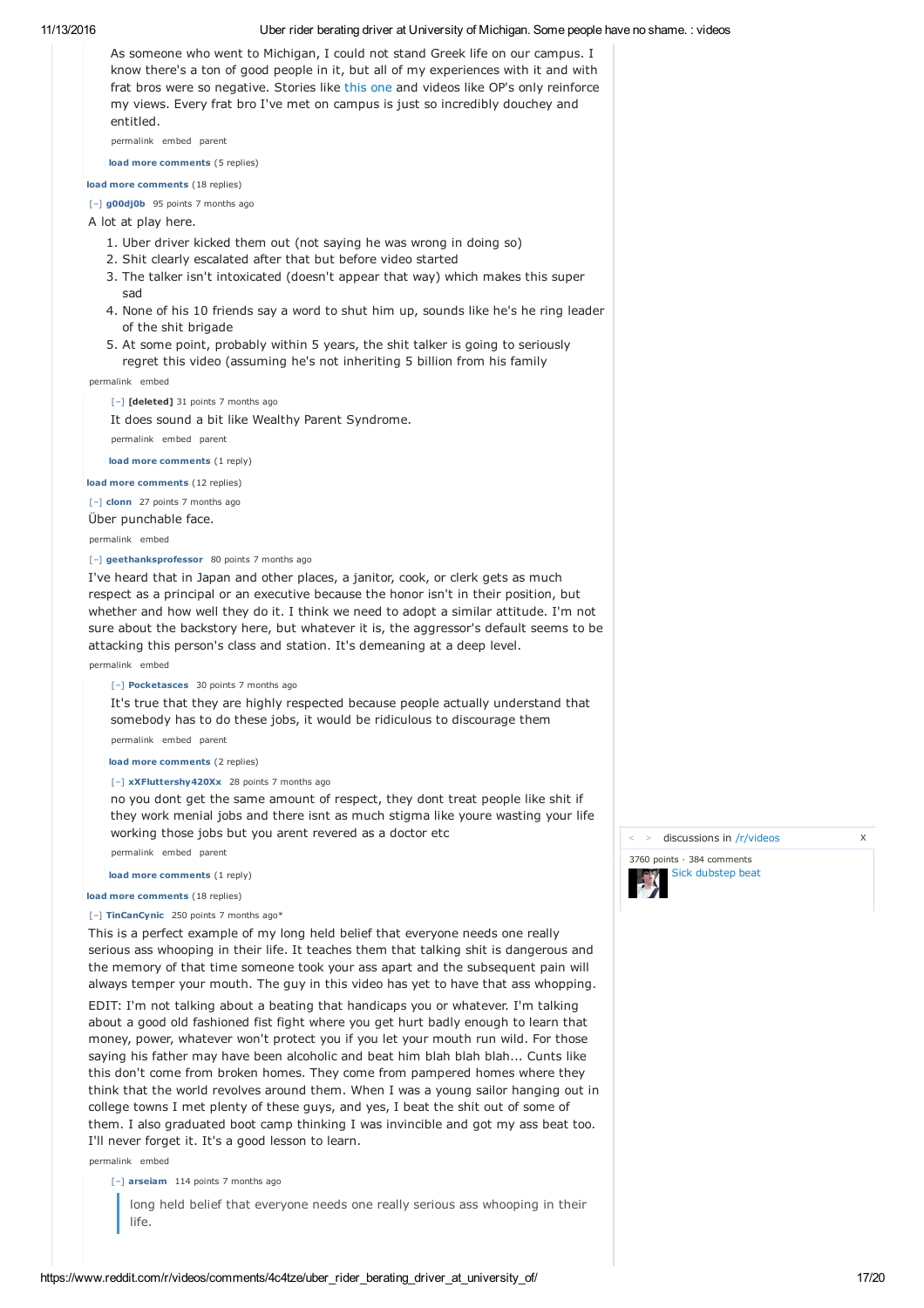11/13/2016 Uber rider berating driver at University of Michigan. Some people have no shame. : videos As someone who went to Michigan, I could not stand Greek life on our campus. I know there's a ton of good people in it, but all of my experiences with it and with frat bros were so negative. Stories like this one and videos like OP's only reinforce my views. Every frat bro I've met on campus is just so incredibly douchey and entitled. permalink embed parent **load more comments** (5 replies) **load more comments** (18 replies) [–] **g00dj0b** 95 points 7 months ago A lot at play here. 1. Uber driver kicked them out (not saying he was wrong in doing so) 2. Shit clearly escalated after that but before video started 3. The talker isn't intoxicated (doesn't appear that way) which makes this super sad 4. None of his 10 friends say a word to shut him up, sounds like he's he ring leader of the shit brigade 5. At some point, probably within 5 years, the shit talker is going to seriously regret this video (assuming he's not inheriting 5 billion from his family permalink embed [–] **[deleted]** 31 points 7 months ago It does sound a bit like Wealthy Parent Syndrome. permalink embed parent **load more comments** (1 reply) **load more comments** (12 replies) [–] **clonn** 27 points 7 months ago Über punchable face. permalink embed [–] **geethanksprofessor** 80 points 7 months ago I've heard that in Japan and other places, a janitor, cook, or clerk gets as much respect as a principal or an executive because the honor isn't in their position, but whether and how well they do it. I think we need to adopt a similar attitude. I'm not sure about the backstory here, but whatever it is, the aggressor's default seems to be attacking this person's class and station. It's demeaning at a deep level. permalink embed [–] **Pocketasces** 30 points 7 months ago It's true that they are highly respected because people actually understand that somebody has to do these jobs, it would be ridiculous to discourage them permalink embed parent **load more comments** (2 replies) [–] **xXFluttershy420Xx** 28 points 7 months ago no you dont get the same amount of respect, they dont treat people like shit if they work menial jobs and there isnt as much stigma like youre wasting your life working those jobs but you arent revered as a doctor etc permalink embed parent **load more comments** (1 reply)

**load more comments** (18 replies)

[–] **TinCanCynic** 250 points 7 months ago\*

This is a perfect example of my long held belief that everyone needs one really serious ass whooping in their life. It teaches them that talking shit is dangerous and the memory of that time someone took your ass apart and the subsequent pain will always temper your mouth. The guy in this video has yet to have that ass whopping.

EDIT: I'm not talking about a beating that handicaps you or whatever. I'm talking about a good old fashioned fist fight where you get hurt badly enough to learn that money, power, whatever won't protect you if you let your mouth run wild. For those saying his father may have been alcoholic and beat him blah blah blah... Cunts like this don't come from broken homes. They come from pampered homes where they think that the world revolves around them. When I was a young sailor hanging out in college towns I met plenty of these guys, and yes, I beat the shit out of some of them. I also graduated boot camp thinking I was invincible and got my ass beat too. I'll never forget it. It's a good lesson to learn.

permalink embed

[–] **arseiam** 114 points 7 months ago

long held belief that everyone needs one really serious ass whooping in their life.

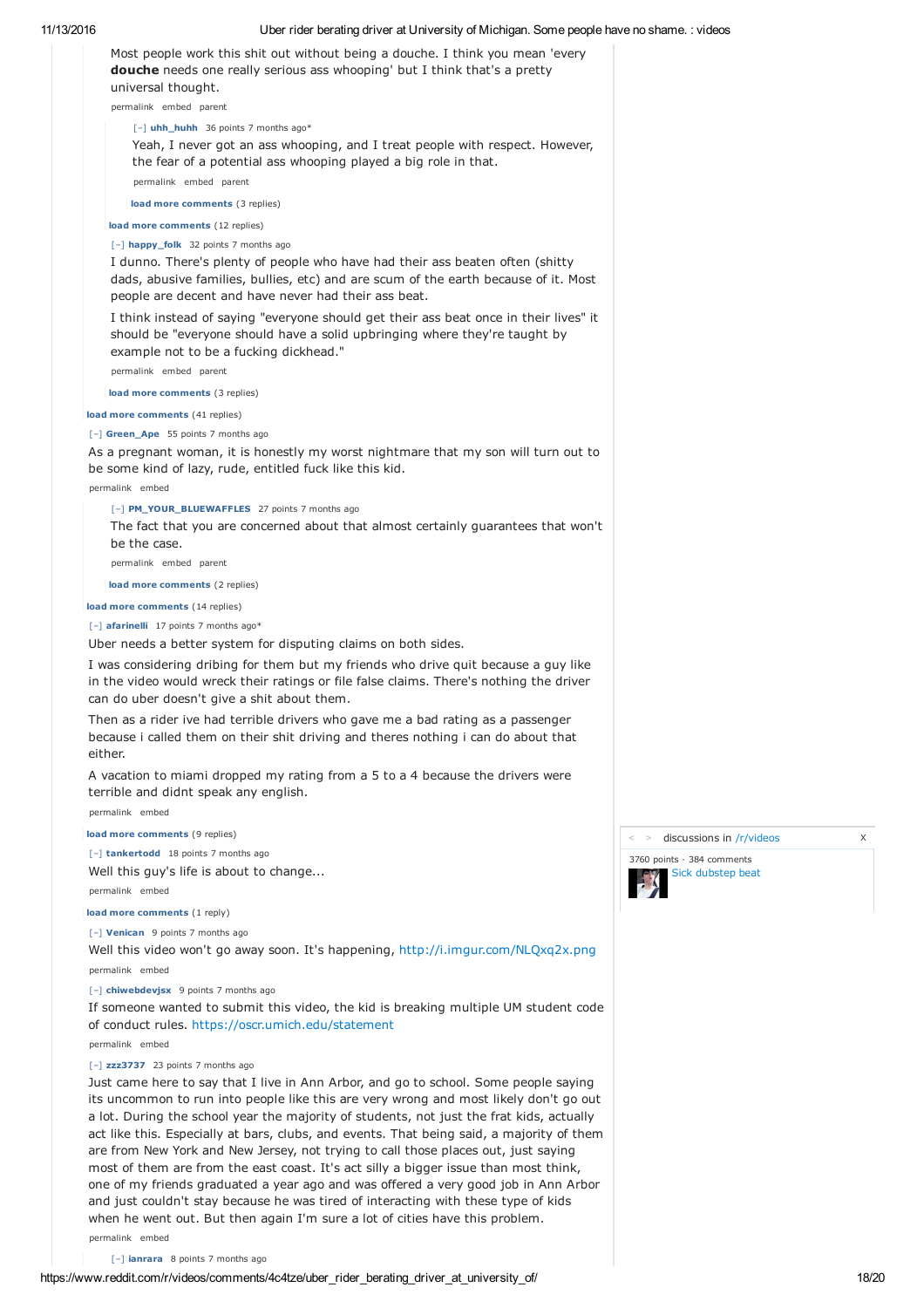| 11/13/2016 | Uber rider berating driver at University of Michigan. Some people have no shame. : videos                                                                                                                                                                             |                            |
|------------|-----------------------------------------------------------------------------------------------------------------------------------------------------------------------------------------------------------------------------------------------------------------------|----------------------------|
|            | Most people work this shit out without being a douche. I think you mean 'every<br><b>douche</b> needs one really serious ass whooping' but I think that's a pretty<br>universal thought.                                                                              |                            |
|            | permalink embed parent                                                                                                                                                                                                                                                |                            |
|            | [-] uhh_huhh 36 points 7 months ago*                                                                                                                                                                                                                                  |                            |
|            | Yeah, I never got an ass whooping, and I treat people with respect. However,<br>the fear of a potential ass whooping played a big role in that.                                                                                                                       |                            |
|            | permalink embed parent                                                                                                                                                                                                                                                |                            |
|            | load more comments (3 replies)                                                                                                                                                                                                                                        |                            |
|            | load more comments (12 replies)                                                                                                                                                                                                                                       |                            |
|            | [-] happy_folk 32 points 7 months ago<br>I dunno. There's plenty of people who have had their ass beaten often (shitty<br>dads, abusive families, bullies, etc) and are scum of the earth because of it. Most<br>people are decent and have never had their ass beat. |                            |
|            | I think instead of saying "everyone should get their ass beat once in their lives" it<br>should be "everyone should have a solid upbringing where they're taught by<br>example not to be a fucking dickhead."                                                         |                            |
|            | permalink embed parent                                                                                                                                                                                                                                                |                            |
|            | load more comments (3 replies)                                                                                                                                                                                                                                        |                            |
|            | load more comments (41 replies)                                                                                                                                                                                                                                       |                            |
|            | [-] Green_Ape 55 points 7 months ago<br>As a pregnant woman, it is honestly my worst nightmare that my son will turn out to<br>be some kind of lazy, rude, entitled fuck like this kid.                                                                               |                            |
|            | permalink embed                                                                                                                                                                                                                                                       |                            |
|            | [-] PM_YOUR_BLUEWAFFLES 27 points 7 months ago                                                                                                                                                                                                                        |                            |
|            | The fact that you are concerned about that almost certainly guarantees that won't<br>be the case.                                                                                                                                                                     |                            |
|            | permalink embed parent                                                                                                                                                                                                                                                |                            |
|            | load more comments (2 replies)                                                                                                                                                                                                                                        |                            |
|            | load more comments (14 replies)                                                                                                                                                                                                                                       |                            |
|            | [-] afarinelli 17 points 7 months ago*<br>Uber needs a better system for disputing claims on both sides.                                                                                                                                                              |                            |
|            | I was considering dribing for them but my friends who drive quit because a guy like<br>in the video would wreck their ratings or file false claims. There's nothing the driver<br>can do uber doesn't give a shit about them.                                         |                            |
|            | Then as a rider ive had terrible drivers who gave me a bad rating as a passenger<br>because i called them on their shit driving and theres nothing i can do about that<br>either.                                                                                     |                            |
|            | A vacation to miami dropped my rating from a 5 to a 4 because the drivers were<br>terrible and didnt speak any english.                                                                                                                                               |                            |
|            | permalink embed                                                                                                                                                                                                                                                       |                            |
|            | load more comments (9 replies)                                                                                                                                                                                                                                        | discussions in /r/v        |
|            | [-] tankertodd 18 points 7 months ago                                                                                                                                                                                                                                 | 3760 points · 384 comments |
|            | Well this guy's life is about to change                                                                                                                                                                                                                               | Sick dubstep bea           |
|            | permalink embed                                                                                                                                                                                                                                                       |                            |
|            | load more comments (1 reply)                                                                                                                                                                                                                                          |                            |
|            | [-] Venican 9 points 7 months ago<br>Well this video won't go away soon. It's happening, http://i.imgur.com/NLQxq2x.png                                                                                                                                               |                            |
|            | permalink embed                                                                                                                                                                                                                                                       |                            |
|            | [-] chiwebdevjsx 9 points 7 months ago                                                                                                                                                                                                                                |                            |
|            | If someone wanted to submit this video, the kid is breaking multiple UM student code<br>of conduct rules. https://oscr.umich.edu/statement<br>permalink embed                                                                                                         |                            |
|            | [-] zzz3737 23 points 7 months ago                                                                                                                                                                                                                                    |                            |
|            | Just came here to say that I live in Ann Arbor, and go to school. Some people saying                                                                                                                                                                                  |                            |

Just came here to say that I live in Ann Arbor, and go to school. Some people saying its uncommon to run into people like this are very wrong and most likely don't go out a lot. During the school year the majority of students, not just the frat kids, actually act like this. Especially at bars, clubs, and events. That being said, a majority of them are from New York and New Jersey, not trying to call those places out, just saying most of them are from the east coast. It's act silly a bigger issue than most think, one of my friends graduated a year ago and was offered a very good job in Ann Arbor and just couldn't stay because he was tired of interacting with these type of kids when he went out. But then again I'm sure a lot of cities have this problem.

permalink embed

[–] **ianrara** 8 points 7 months ago



 $>$  discussions in /r/videos  $\times$ 

Sick dubstep beat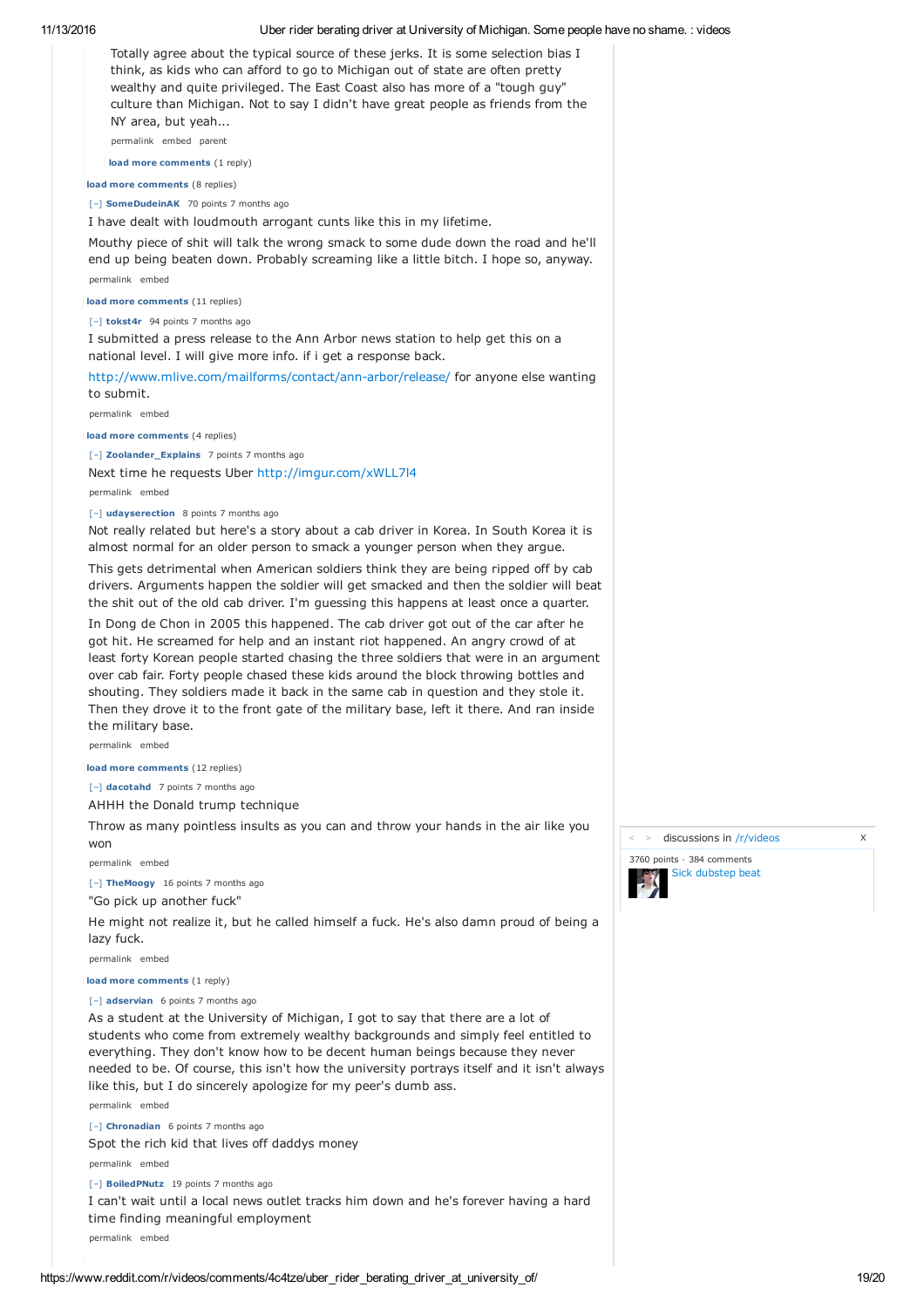

As a student at the University of Michigan, I got to say that there are a lot of students who come from extremely wealthy backgrounds and simply feel entitled to everything. They don't know how to be decent human beings because they never needed to be. Of course, this isn't how the university portrays itself and it isn't always like this, but I do sincerely apologize for my peer's dumb ass.

[–] **Chronadian** 6 points 7 months ago Spot the rich kid that lives off daddys money

permalink embed

permalink embed

[–] **BoiledPNutz** 19 points 7 months ago

I can't wait until a local news outlet tracks him down and he's forever having a hard time finding meaningful employment

permalink embed

> discussions in /r/videos X